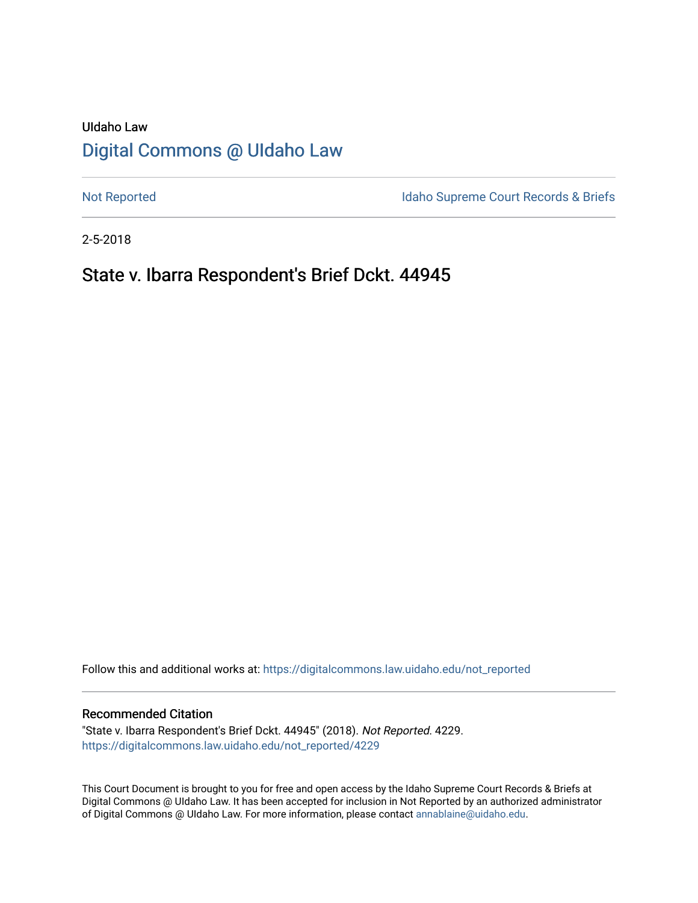## UIdaho Law [Digital Commons @ UIdaho Law](https://digitalcommons.law.uidaho.edu/)

[Not Reported](https://digitalcommons.law.uidaho.edu/not_reported) **Idaho Supreme Court Records & Briefs** 

2-5-2018

## State v. Ibarra Respondent's Brief Dckt. 44945

Follow this and additional works at: [https://digitalcommons.law.uidaho.edu/not\\_reported](https://digitalcommons.law.uidaho.edu/not_reported?utm_source=digitalcommons.law.uidaho.edu%2Fnot_reported%2F4229&utm_medium=PDF&utm_campaign=PDFCoverPages) 

#### Recommended Citation

"State v. Ibarra Respondent's Brief Dckt. 44945" (2018). Not Reported. 4229. [https://digitalcommons.law.uidaho.edu/not\\_reported/4229](https://digitalcommons.law.uidaho.edu/not_reported/4229?utm_source=digitalcommons.law.uidaho.edu%2Fnot_reported%2F4229&utm_medium=PDF&utm_campaign=PDFCoverPages)

This Court Document is brought to you for free and open access by the Idaho Supreme Court Records & Briefs at Digital Commons @ UIdaho Law. It has been accepted for inclusion in Not Reported by an authorized administrator of Digital Commons @ UIdaho Law. For more information, please contact [annablaine@uidaho.edu](mailto:annablaine@uidaho.edu).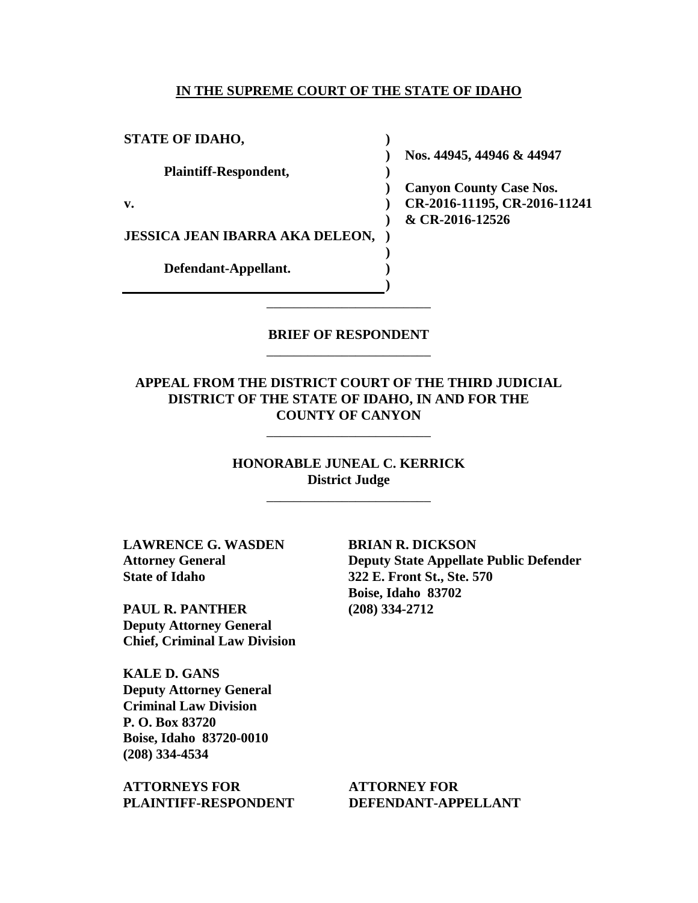#### **IN THE SUPREME COURT OF THE STATE OF IDAHO**

**)**

**)** 

**) )** 

**) ) )**

**STATE OF IDAHO,**

**Plaintiff-Respondent,**

**v.**

**JESSICA JEAN IBARRA AKA DELEON, )** 

**Defendant-Appellant.**

**) Nos. 44945, 44946 & 44947** 

**) Canyon County Case Nos. CR-2016-11195, CR-2016-11241 & CR-2016-12526** 

### **BRIEF OF RESPONDENT** \_\_\_\_\_\_\_\_\_\_\_\_\_\_\_\_\_\_\_\_\_\_\_\_

\_\_\_\_\_\_\_\_\_\_\_\_\_\_\_\_\_\_\_\_\_\_\_\_

### **APPEAL FROM THE DISTRICT COURT OF THE THIRD JUDICIAL DISTRICT OF THE STATE OF IDAHO, IN AND FOR THE COUNTY OF CANYON**

\_\_\_\_\_\_\_\_\_\_\_\_\_\_\_\_\_\_\_\_\_\_\_\_

**HONORABLE JUNEAL C. KERRICK District Judge**

\_\_\_\_\_\_\_\_\_\_\_\_\_\_\_\_\_\_\_\_\_\_\_\_

**LAWRENCE G. WASDEN Attorney General State of Idaho**

**PAUL R. PANTHER Deputy Attorney General Chief, Criminal Law Division**

**KALE D. GANS Deputy Attorney General Criminal Law Division P. O. Box 83720 Boise, Idaho 83720-0010 (208) 334-4534** 

**ATTORNEYS FOR PLAINTIFF-RESPONDENT** **BRIAN R. DICKSON Deputy State Appellate Public Defender 322 E. Front St., Ste. 570 Boise, Idaho 83702 (208) 334-2712** 

**ATTORNEY FOR DEFENDANT-APPELLANT**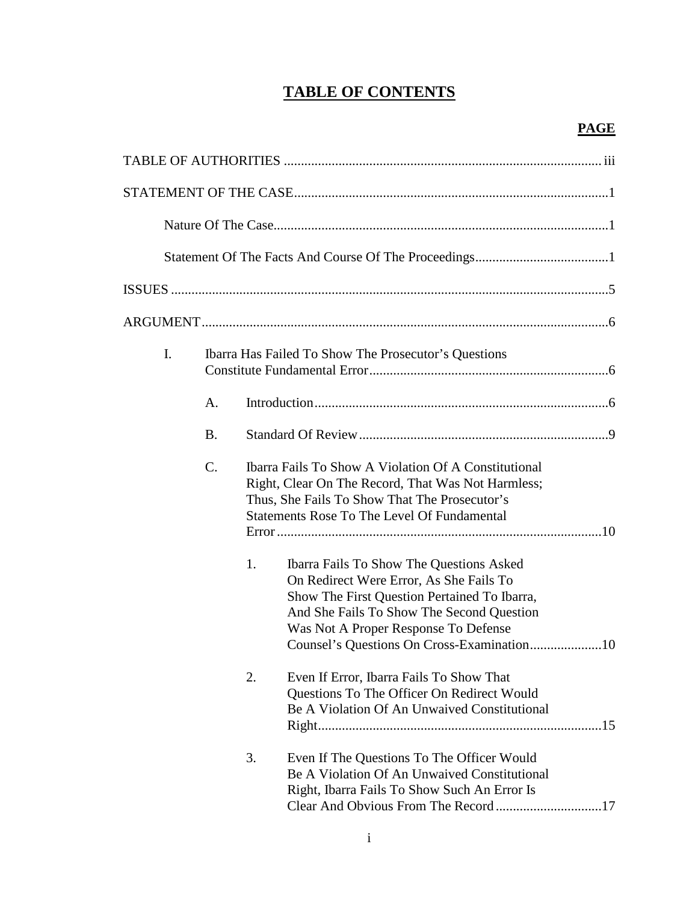## **TABLE OF CONTENTS**

| I. | Ibarra Has Failed To Show The Prosecutor's Questions |                                                                                                                                                                                                                          |                                                                                                                                                                                                                                 |  |  |  |  |
|----|------------------------------------------------------|--------------------------------------------------------------------------------------------------------------------------------------------------------------------------------------------------------------------------|---------------------------------------------------------------------------------------------------------------------------------------------------------------------------------------------------------------------------------|--|--|--|--|
|    | A.                                                   |                                                                                                                                                                                                                          |                                                                                                                                                                                                                                 |  |  |  |  |
|    | <b>B.</b>                                            |                                                                                                                                                                                                                          |                                                                                                                                                                                                                                 |  |  |  |  |
|    | $\mathcal{C}$ .                                      | <b>Ibarra Fails To Show A Violation Of A Constitutional</b><br>Right, Clear On The Record, That Was Not Harmless;<br>Thus, She Fails To Show That The Prosecutor's<br><b>Statements Rose To The Level Of Fundamental</b> |                                                                                                                                                                                                                                 |  |  |  |  |
|    |                                                      | 1.                                                                                                                                                                                                                       | <b>Ibarra Fails To Show The Questions Asked</b><br>On Redirect Were Error, As She Fails To<br>Show The First Question Pertained To Ibarra,<br>And She Fails To Show The Second Question<br>Was Not A Proper Response To Defense |  |  |  |  |
|    |                                                      | 2.                                                                                                                                                                                                                       | Even If Error, Ibarra Fails To Show That<br><b>Questions To The Officer On Redirect Would</b><br>Be A Violation Of An Unwaived Constitutional                                                                                   |  |  |  |  |
|    |                                                      | 3.                                                                                                                                                                                                                       | Even If The Questions To The Officer Would<br>Be A Violation Of An Unwaived Constitutional<br>Right, Ibarra Fails To Show Such An Error Is                                                                                      |  |  |  |  |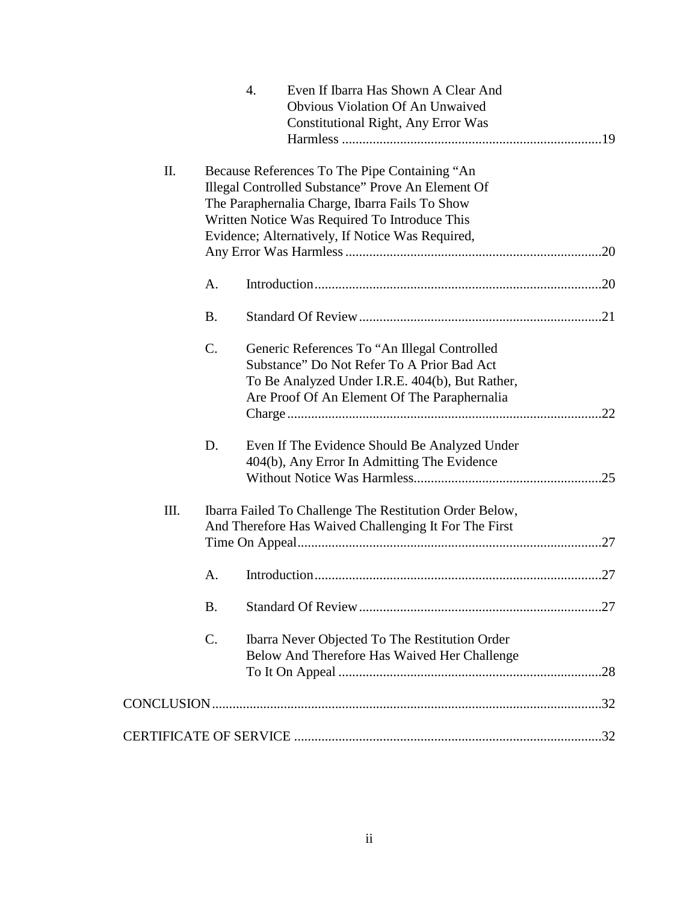|    |           | $\overline{4}$ .<br>Even If Ibarra Has Shown A Clear And<br>Obvious Violation Of An Unwaived                                                                                                                                                              |  |
|----|-----------|-----------------------------------------------------------------------------------------------------------------------------------------------------------------------------------------------------------------------------------------------------------|--|
|    |           | <b>Constitutional Right, Any Error Was</b>                                                                                                                                                                                                                |  |
| Π. |           | Because References To The Pipe Containing "An<br>Illegal Controlled Substance" Prove An Element Of<br>The Paraphernalia Charge, Ibarra Fails To Show<br>Written Notice Was Required To Introduce This<br>Evidence; Alternatively, If Notice Was Required, |  |
|    | A.        |                                                                                                                                                                                                                                                           |  |
|    | <b>B.</b> |                                                                                                                                                                                                                                                           |  |
|    | C.        | Generic References To "An Illegal Controlled"<br>Substance" Do Not Refer To A Prior Bad Act<br>To Be Analyzed Under I.R.E. 404(b), But Rather,<br>Are Proof Of An Element Of The Paraphernalia                                                            |  |
|    | D.        | Even If The Evidence Should Be Analyzed Under<br>404(b), Any Error In Admitting The Evidence                                                                                                                                                              |  |
| Ш. |           | Ibarra Failed To Challenge The Restitution Order Below,<br>And Therefore Has Waived Challenging It For The First                                                                                                                                          |  |
|    | A.        |                                                                                                                                                                                                                                                           |  |
|    | <b>B.</b> |                                                                                                                                                                                                                                                           |  |
|    | $C$ .     | Ibarra Never Objected To The Restitution Order<br>Below And Therefore Has Waived Her Challenge                                                                                                                                                            |  |
|    |           |                                                                                                                                                                                                                                                           |  |
|    |           |                                                                                                                                                                                                                                                           |  |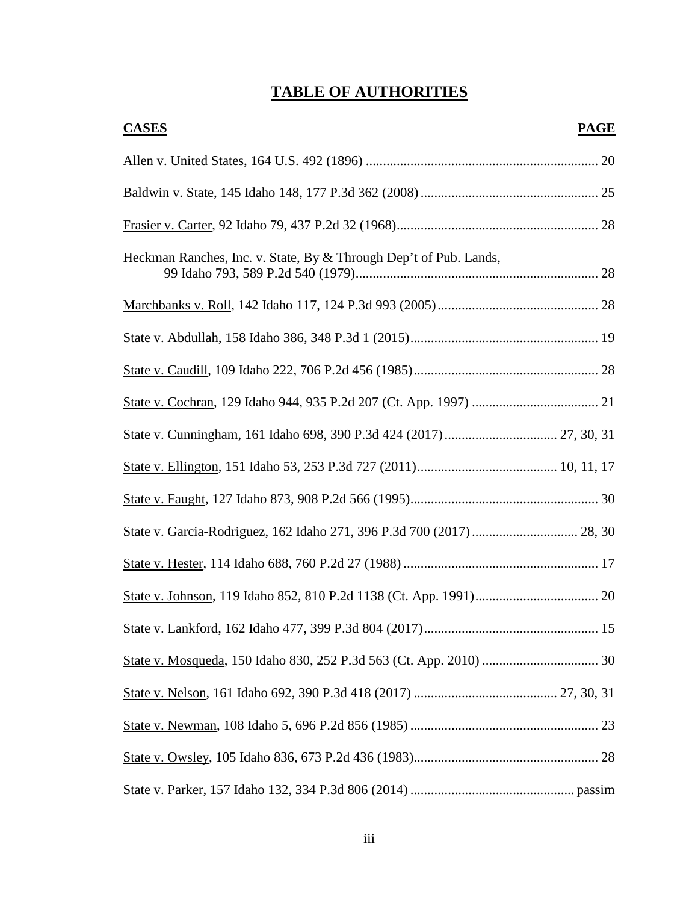# **TABLE OF AUTHORITIES**

| <b>CASES</b>                                                      | <b>PAGE</b> |
|-------------------------------------------------------------------|-------------|
|                                                                   |             |
|                                                                   |             |
|                                                                   |             |
| Heckman Ranches, Inc. v. State, By & Through Dep't of Pub. Lands, |             |
|                                                                   |             |
|                                                                   |             |
|                                                                   |             |
|                                                                   |             |
|                                                                   |             |
|                                                                   |             |
|                                                                   |             |
|                                                                   |             |
|                                                                   |             |
|                                                                   |             |
|                                                                   |             |
|                                                                   |             |
|                                                                   |             |
|                                                                   |             |
|                                                                   |             |
|                                                                   |             |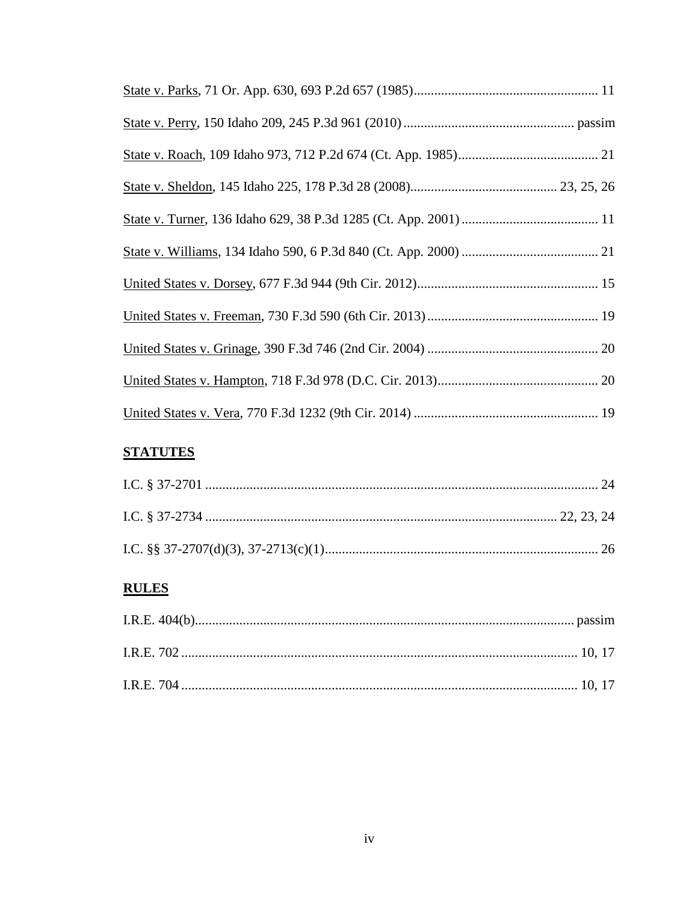## **STATUTES**

## **RULES**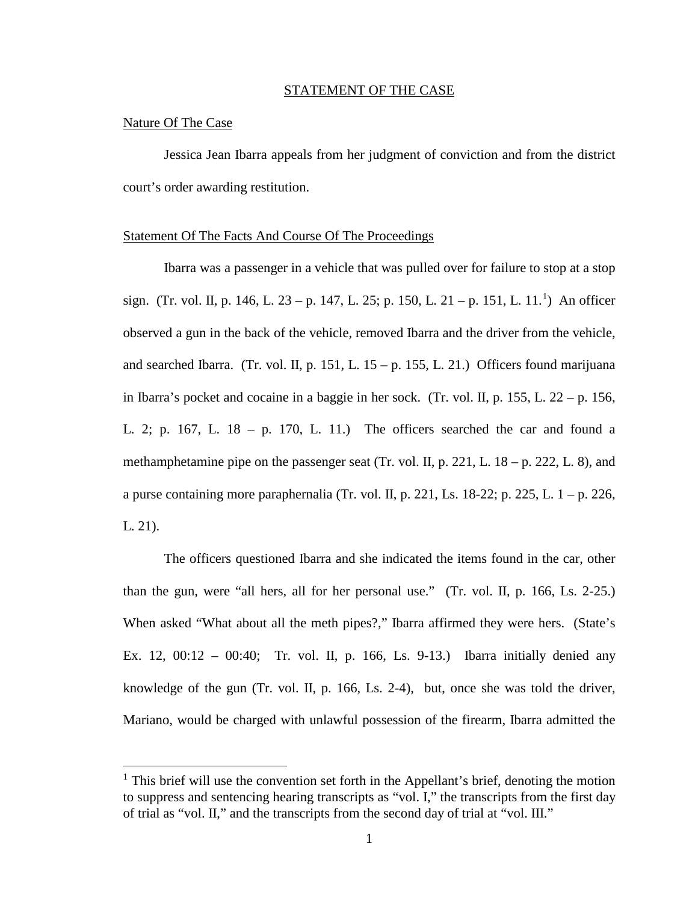#### STATEMENT OF THE CASE

#### Nature Of The Case

 $\overline{a}$ 

Jessica Jean Ibarra appeals from her judgment of conviction and from the district court's order awarding restitution.

#### Statement Of The Facts And Course Of The Proceedings

Ibarra was a passenger in a vehicle that was pulled over for failure to stop at a stop sign. (Tr. vol. II, p. [1](#page-6-0)46, L. 23 – p. 147, L. 25; p. 150, L. 21 – p. 151, L. 11.<sup>1</sup>) An officer observed a gun in the back of the vehicle, removed Ibarra and the driver from the vehicle, and searched Ibarra. (Tr. vol. II, p. 151, L.  $15 - p$ . 155, L. 21.) Officers found marijuana in Ibarra's pocket and cocaine in a baggie in her sock. (Tr. vol. II, p. 155, L. 22 – p. 156, L. 2; p. 167, L. 18 – p. 170, L. 11.) The officers searched the car and found a methamphetamine pipe on the passenger seat (Tr. vol. II, p. 221, L.  $18 - p$ , 222, L. 8), and a purse containing more paraphernalia (Tr. vol. II, p. 221, Ls. 18-22; p. 225, L.  $1 - p$ . 226, L. 21).

The officers questioned Ibarra and she indicated the items found in the car, other than the gun, were "all hers, all for her personal use." (Tr. vol. II, p. 166, Ls. 2-25.) When asked "What about all the meth pipes?," Ibarra affirmed they were hers. (State's Ex. 12, 00:12 – 00:40; Tr. vol. II, p. 166, Ls. 9-13.) Ibarra initially denied any knowledge of the gun (Tr. vol. II, p. 166, Ls. 2-4), but, once she was told the driver, Mariano, would be charged with unlawful possession of the firearm, Ibarra admitted the

<span id="page-6-0"></span> $<sup>1</sup>$  This brief will use the convention set forth in the Appellant's brief, denoting the motion</sup> to suppress and sentencing hearing transcripts as "vol. I," the transcripts from the first day of trial as "vol. II," and the transcripts from the second day of trial at "vol. III."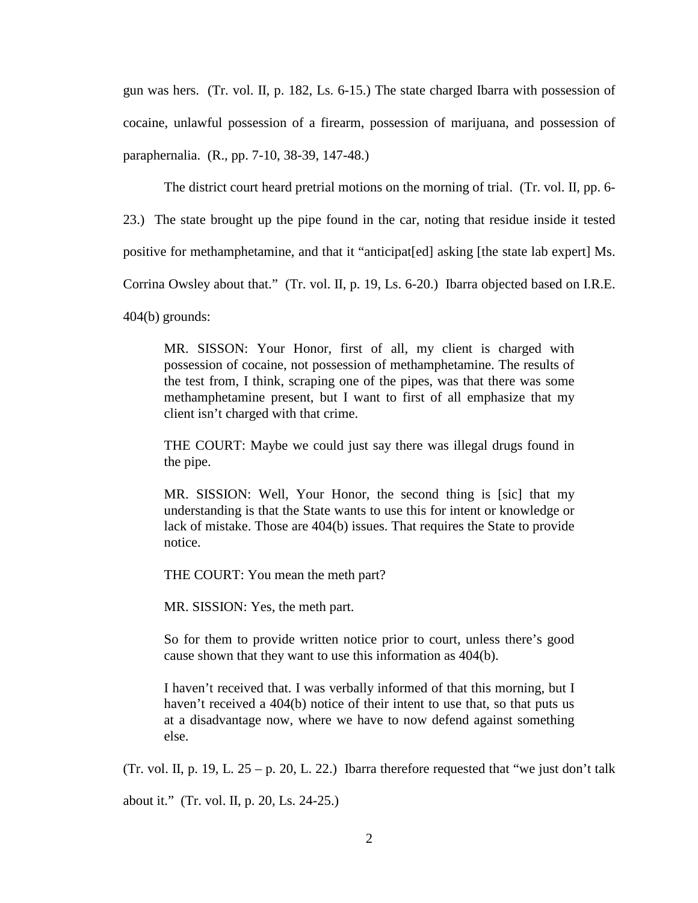gun was hers. (Tr. vol. II, p. 182, Ls. 6-15.) The state charged Ibarra with possession of cocaine, unlawful possession of a firearm, possession of marijuana, and possession of paraphernalia. (R., pp. 7-10, 38-39, 147-48.)

The district court heard pretrial motions on the morning of trial. (Tr. vol. II, pp. 6-

23.) The state brought up the pipe found in the car, noting that residue inside it tested

positive for methamphetamine, and that it "anticipat[ed] asking [the state lab expert] Ms.

Corrina Owsley about that." (Tr. vol. II, p. 19, Ls. 6-20.) Ibarra objected based on I.R.E.

404(b) grounds:

MR. SISSON: Your Honor, first of all, my client is charged with possession of cocaine, not possession of methamphetamine. The results of the test from, I think, scraping one of the pipes, was that there was some methamphetamine present, but I want to first of all emphasize that my client isn't charged with that crime.

THE COURT: Maybe we could just say there was illegal drugs found in the pipe.

MR. SISSION: Well, Your Honor, the second thing is [sic] that my understanding is that the State wants to use this for intent or knowledge or lack of mistake. Those are 404(b) issues. That requires the State to provide notice.

THE COURT: You mean the meth part?

MR. SISSION: Yes, the meth part.

So for them to provide written notice prior to court, unless there's good cause shown that they want to use this information as 404(b).

I haven't received that. I was verbally informed of that this morning, but I haven't received a 404(b) notice of their intent to use that, so that puts us at a disadvantage now, where we have to now defend against something else.

(Tr. vol. II, p. 19, L.  $25 - p$ . 20, L. 22.) Ibarra therefore requested that "we just don't talk

about it." (Tr. vol. II, p. 20, Ls. 24-25.)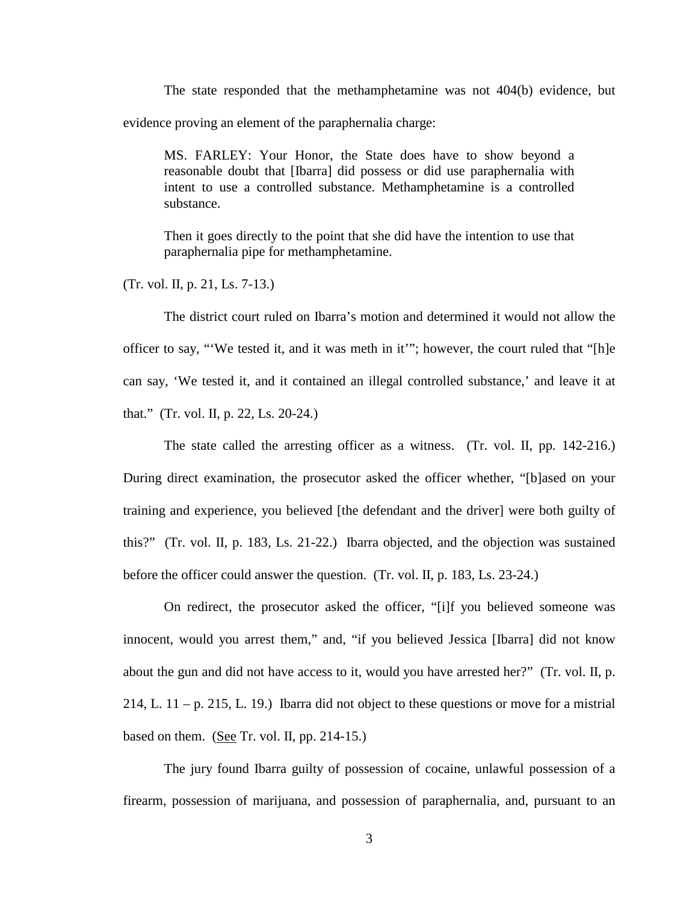The state responded that the methamphetamine was not 404(b) evidence, but evidence proving an element of the paraphernalia charge:

MS. FARLEY: Your Honor, the State does have to show beyond a reasonable doubt that [Ibarra] did possess or did use paraphernalia with intent to use a controlled substance. Methamphetamine is a controlled substance.

Then it goes directly to the point that she did have the intention to use that paraphernalia pipe for methamphetamine.

(Tr. vol. II, p. 21, Ls. 7-13.)

The district court ruled on Ibarra's motion and determined it would not allow the officer to say, "'We tested it, and it was meth in it'"; however, the court ruled that "[h]e can say, 'We tested it, and it contained an illegal controlled substance,' and leave it at that." (Tr. vol. II, p. 22, Ls. 20-24.)

The state called the arresting officer as a witness. (Tr. vol. II, pp. 142-216.) During direct examination, the prosecutor asked the officer whether, "[b]ased on your training and experience, you believed [the defendant and the driver] were both guilty of this?" (Tr. vol. II, p. 183, Ls. 21-22.) Ibarra objected, and the objection was sustained before the officer could answer the question. (Tr. vol. II, p. 183, Ls. 23-24.)

On redirect, the prosecutor asked the officer, "[i]f you believed someone was innocent, would you arrest them," and, "if you believed Jessica [Ibarra] did not know about the gun and did not have access to it, would you have arrested her?" (Tr. vol. II, p. 214, L.  $11 - p$ , 215, L. 19.) Ibarra did not object to these questions or move for a mistrial based on them. (See Tr. vol. II, pp. 214-15.)

The jury found Ibarra guilty of possession of cocaine, unlawful possession of a firearm, possession of marijuana, and possession of paraphernalia, and, pursuant to an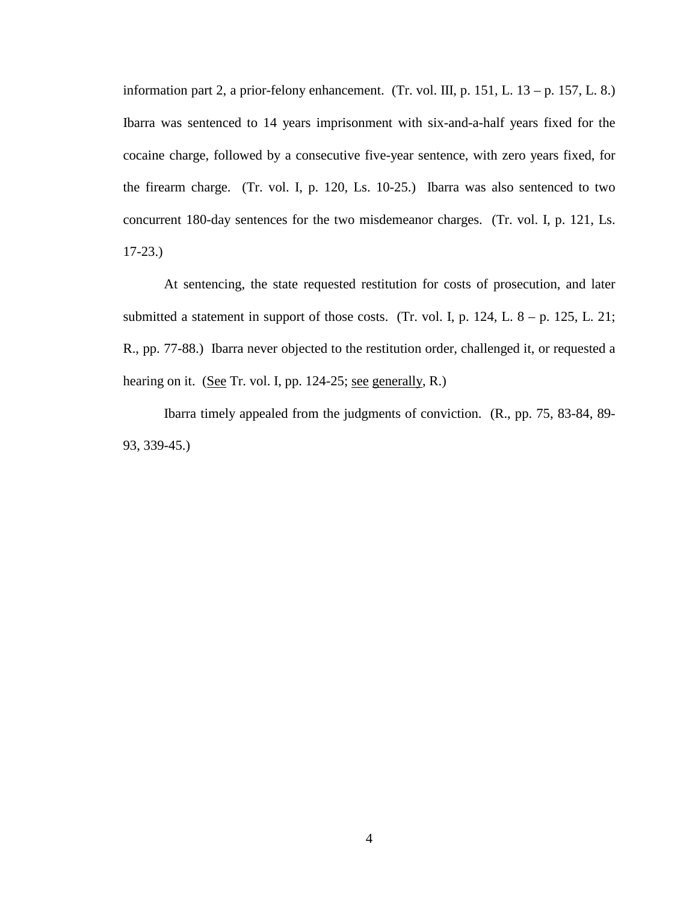information part 2, a prior-felony enhancement. (Tr. vol. III, p. 151, L.  $13 - p$ . 157, L. 8.) Ibarra was sentenced to 14 years imprisonment with six-and-a-half years fixed for the cocaine charge, followed by a consecutive five-year sentence, with zero years fixed, for the firearm charge. (Tr. vol. I, p. 120, Ls. 10-25.) Ibarra was also sentenced to two concurrent 180-day sentences for the two misdemeanor charges. (Tr. vol. I, p. 121, Ls. 17-23.)

At sentencing, the state requested restitution for costs of prosecution, and later submitted a statement in support of those costs. (Tr. vol. I, p. 124, L.  $8 - p$ . 125, L. 21; R., pp. 77-88.) Ibarra never objected to the restitution order, challenged it, or requested a hearing on it. (See Tr. vol. I, pp. 124-25; see generally, R.)

Ibarra timely appealed from the judgments of conviction. (R., pp. 75, 83-84, 89- 93, 339-45.)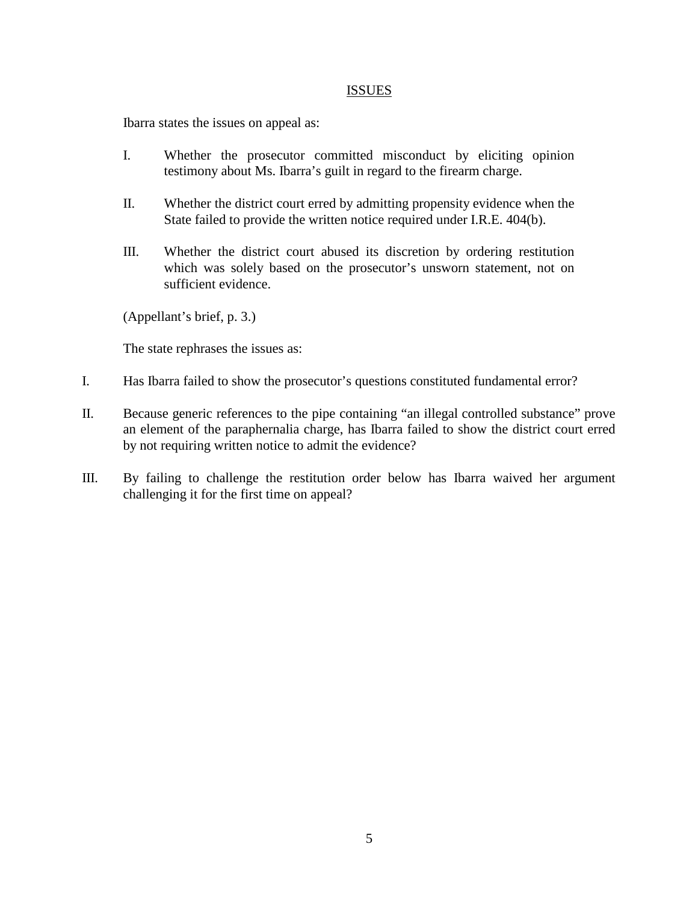#### **ISSUES**

Ibarra states the issues on appeal as:

- I. Whether the prosecutor committed misconduct by eliciting opinion testimony about Ms. Ibarra's guilt in regard to the firearm charge.
- II. Whether the district court erred by admitting propensity evidence when the State failed to provide the written notice required under I.R.E. 404(b).
- III. Whether the district court abused its discretion by ordering restitution which was solely based on the prosecutor's unsworn statement, not on sufficient evidence.

(Appellant's brief, p. 3.)

The state rephrases the issues as:

- I. Has Ibarra failed to show the prosecutor's questions constituted fundamental error?
- II. Because generic references to the pipe containing "an illegal controlled substance" prove an element of the paraphernalia charge, has Ibarra failed to show the district court erred by not requiring written notice to admit the evidence?
- III. By failing to challenge the restitution order below has Ibarra waived her argument challenging it for the first time on appeal?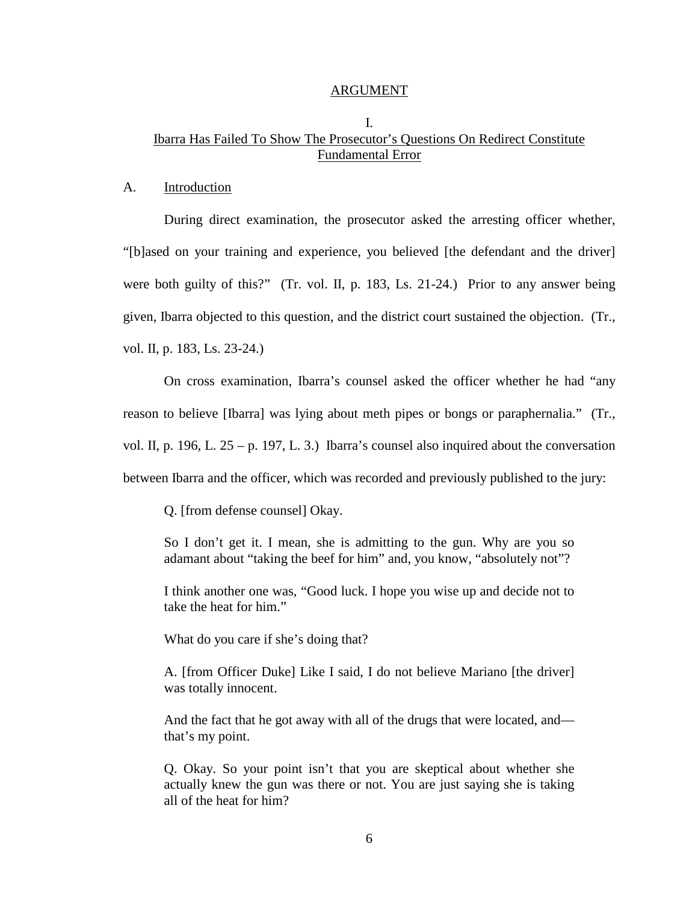#### ARGUMENT

### I. Ibarra Has Failed To Show The Prosecutor's Questions On Redirect Constitute Fundamental Error

#### A. Introduction

During direct examination, the prosecutor asked the arresting officer whether, "[b]ased on your training and experience, you believed [the defendant and the driver] were both guilty of this?" (Tr. vol. II, p. 183, Ls. 21-24.) Prior to any answer being given, Ibarra objected to this question, and the district court sustained the objection. (Tr., vol. II, p. 183, Ls. 23-24.)

On cross examination, Ibarra's counsel asked the officer whether he had "any reason to believe [Ibarra] was lying about meth pipes or bongs or paraphernalia." (Tr., vol. II, p. 196, L. 25 – p. 197, L. 3.) Ibarra's counsel also inquired about the conversation between Ibarra and the officer, which was recorded and previously published to the jury:

Q. [from defense counsel] Okay.

So I don't get it. I mean, she is admitting to the gun. Why are you so adamant about "taking the beef for him" and, you know, "absolutely not"?

I think another one was, "Good luck. I hope you wise up and decide not to take the heat for him."

What do you care if she's doing that?

A. [from Officer Duke] Like I said, I do not believe Mariano [the driver] was totally innocent.

And the fact that he got away with all of the drugs that were located, and that's my point.

Q. Okay. So your point isn't that you are skeptical about whether she actually knew the gun was there or not. You are just saying she is taking all of the heat for him?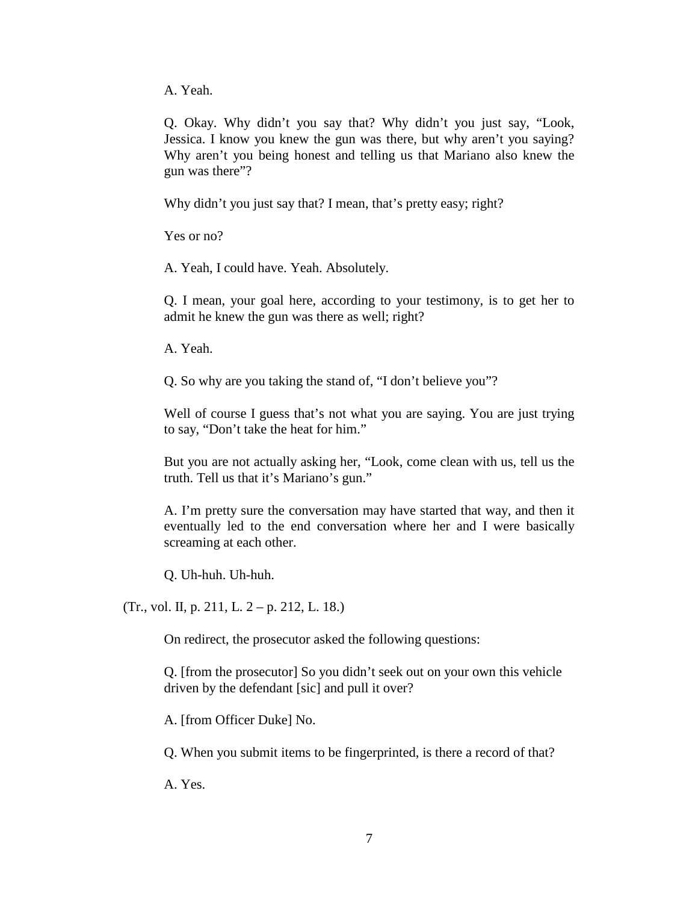A. Yeah.

Q. Okay. Why didn't you say that? Why didn't you just say, "Look, Jessica. I know you knew the gun was there, but why aren't you saying? Why aren't you being honest and telling us that Mariano also knew the gun was there"?

Why didn't you just say that? I mean, that's pretty easy; right?

Yes or no?

A. Yeah, I could have. Yeah. Absolutely.

Q. I mean, your goal here, according to your testimony, is to get her to admit he knew the gun was there as well; right?

A. Yeah.

Q. So why are you taking the stand of, "I don't believe you"?

Well of course I guess that's not what you are saying. You are just trying to say, "Don't take the heat for him."

But you are not actually asking her, "Look, come clean with us, tell us the truth. Tell us that it's Mariano's gun."

A. I'm pretty sure the conversation may have started that way, and then it eventually led to the end conversation where her and I were basically screaming at each other.

Q. Uh-huh. Uh-huh.

(Tr., vol. II, p. 211, L. 2 – p. 212, L. 18.)

On redirect, the prosecutor asked the following questions:

Q. [from the prosecutor] So you didn't seek out on your own this vehicle driven by the defendant [sic] and pull it over?

A. [from Officer Duke] No.

Q. When you submit items to be fingerprinted, is there a record of that?

A. Yes.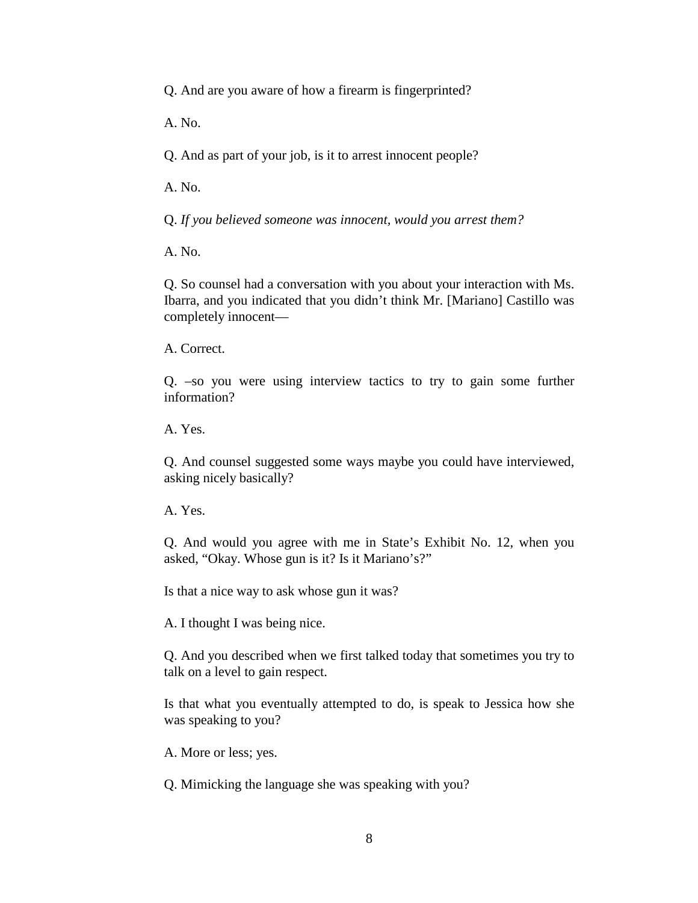Q. And are you aware of how a firearm is fingerprinted?

A. No.

Q. And as part of your job, is it to arrest innocent people?

A. No.

Q. *If you believed someone was innocent, would you arrest them?* 

A. No.

Q. So counsel had a conversation with you about your interaction with Ms. Ibarra, and you indicated that you didn't think Mr. [Mariano] Castillo was completely innocent—

A. Correct.

Q. –so you were using interview tactics to try to gain some further information?

A. Yes.

Q. And counsel suggested some ways maybe you could have interviewed, asking nicely basically?

A. Yes.

Q. And would you agree with me in State's Exhibit No. 12, when you asked, "Okay. Whose gun is it? Is it Mariano's?"

Is that a nice way to ask whose gun it was?

A. I thought I was being nice.

Q. And you described when we first talked today that sometimes you try to talk on a level to gain respect.

Is that what you eventually attempted to do, is speak to Jessica how she was speaking to you?

A. More or less; yes.

Q. Mimicking the language she was speaking with you?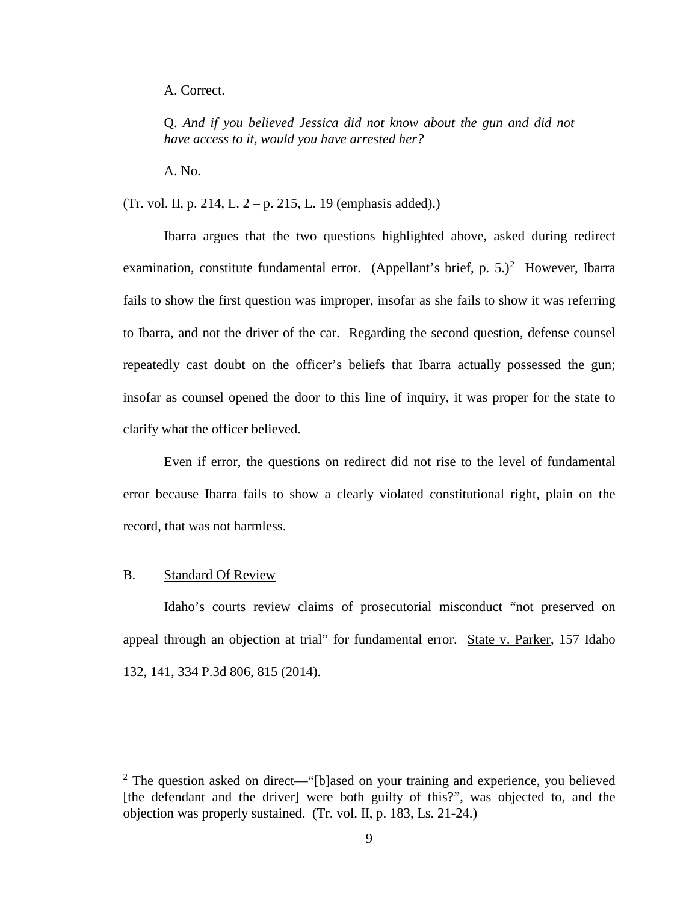A. Correct.

Q. *And if you believed Jessica did not know about the gun and did not have access to it, would you have arrested her?*

A. No.

(Tr. vol. II, p. 214, L. 2 – p. 215, L. 19 (emphasis added).)

Ibarra argues that the two questions highlighted above, asked during redirect examination, constitute fundamental error. (Appellant's brief, p.  $5.$ )<sup>[2](#page-14-0)</sup> However, Ibarra fails to show the first question was improper, insofar as she fails to show it was referring to Ibarra, and not the driver of the car. Regarding the second question, defense counsel repeatedly cast doubt on the officer's beliefs that Ibarra actually possessed the gun; insofar as counsel opened the door to this line of inquiry, it was proper for the state to clarify what the officer believed.

Even if error, the questions on redirect did not rise to the level of fundamental error because Ibarra fails to show a clearly violated constitutional right, plain on the record, that was not harmless.

#### B. Standard Of Review

 $\overline{a}$ 

Idaho's courts review claims of prosecutorial misconduct "not preserved on appeal through an objection at trial" for fundamental error. State v. Parker, 157 Idaho 132, 141, 334 P.3d 806, 815 (2014).

<span id="page-14-0"></span> $2$  The question asked on direct—"[b]ased on your training and experience, you believed [the defendant and the driver] were both guilty of this?", was objected to, and the objection was properly sustained. (Tr. vol. II, p. 183, Ls. 21-24.)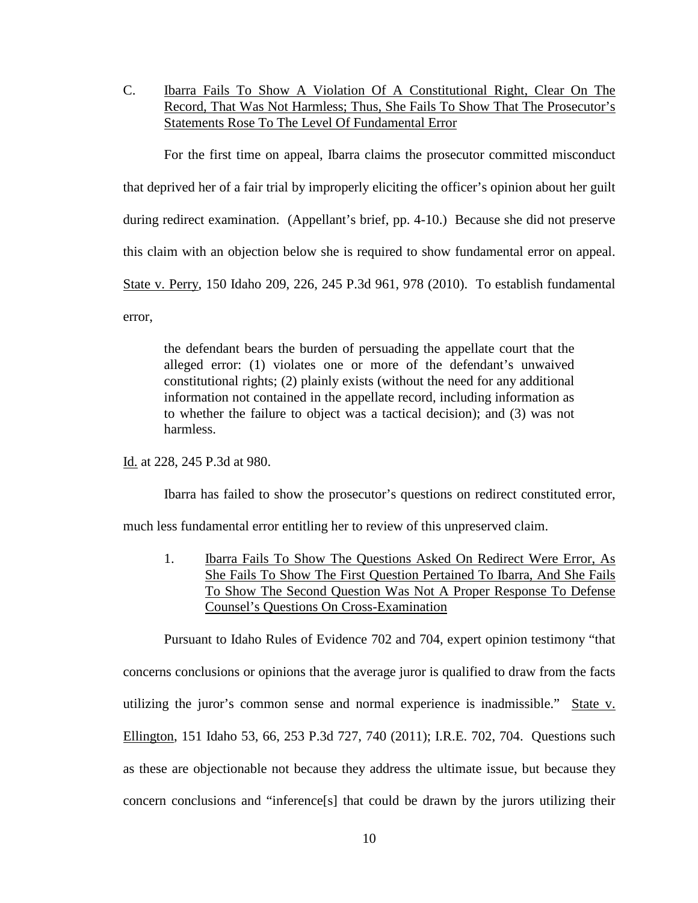C. Ibarra Fails To Show A Violation Of A Constitutional Right, Clear On The Record, That Was Not Harmless; Thus, She Fails To Show That The Prosecutor's Statements Rose To The Level Of Fundamental Error

For the first time on appeal, Ibarra claims the prosecutor committed misconduct that deprived her of a fair trial by improperly eliciting the officer's opinion about her guilt during redirect examination. (Appellant's brief, pp. 4-10.) Because she did not preserve this claim with an objection below she is required to show fundamental error on appeal. State v. Perry, 150 Idaho 209, 226, 245 P.3d 961, 978 (2010). To establish fundamental error,

the defendant bears the burden of persuading the appellate court that the alleged error: (1) violates one or more of the defendant's unwaived constitutional rights; (2) plainly exists (without the need for any additional information not contained in the appellate record, including information as to whether the failure to object was a tactical decision); and (3) was not harmless.

Id. at 228, 245 P.3d at 980.

Ibarra has failed to show the prosecutor's questions on redirect constituted error,

much less fundamental error entitling her to review of this unpreserved claim.

1. Ibarra Fails To Show The Questions Asked On Redirect Were Error, As She Fails To Show The First Question Pertained To Ibarra, And She Fails To Show The Second Question Was Not A Proper Response To Defense Counsel's Questions On Cross-Examination

Pursuant to Idaho Rules of Evidence 702 and 704, expert opinion testimony "that concerns conclusions or opinions that the average juror is qualified to draw from the facts utilizing the juror's common sense and normal experience is inadmissible." State v. Ellington, 151 Idaho 53, 66, 253 P.3d 727, 740 (2011); I.R.E. 702, 704. Questions such as these are objectionable not because they address the ultimate issue, but because they concern conclusions and "inference[s] that could be drawn by the jurors utilizing their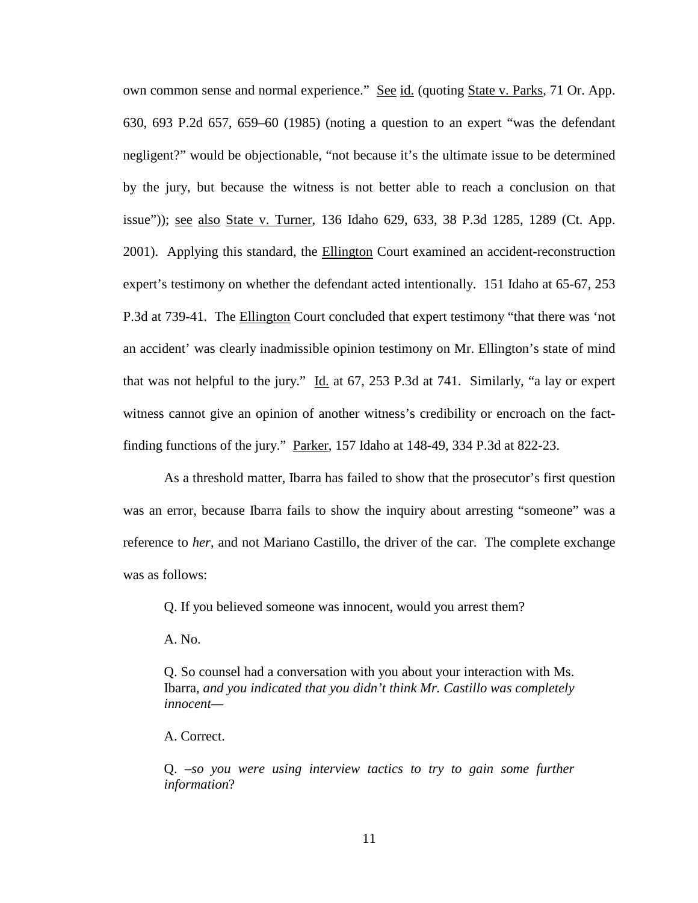own common sense and normal experience." See id. (quoting State v. Parks, 71 Or. App. 630, 693 P.2d 657, 659–60 (1985) (noting a question to an expert "was the defendant negligent?" would be objectionable, "not because it's the ultimate issue to be determined by the jury, but because the witness is not better able to reach a conclusion on that issue")); see also State v. Turner, 136 Idaho 629, 633, 38 P.3d 1285, 1289 (Ct. App. 2001). Applying this standard, the Ellington Court examined an accident-reconstruction expert's testimony on whether the defendant acted intentionally. 151 Idaho at 65-67, 253 P.3d at 739-41. The Ellington Court concluded that expert testimony "that there was 'not an accident' was clearly inadmissible opinion testimony on Mr. Ellington's state of mind that was not helpful to the jury." Id. at  $67$ ,  $253$  P.3d at  $741$ . Similarly, "a lay or expert witness cannot give an opinion of another witness's credibility or encroach on the factfinding functions of the jury." Parker, 157 Idaho at 148-49, 334 P.3d at 822-23.

As a threshold matter, Ibarra has failed to show that the prosecutor's first question was an error, because Ibarra fails to show the inquiry about arresting "someone" was a reference to *her*, and not Mariano Castillo, the driver of the car. The complete exchange was as follows:

Q. If you believed someone was innocent, would you arrest them?

A. No.

Q. So counsel had a conversation with you about your interaction with Ms. Ibarra, *and you indicated that you didn't think Mr. Castillo was completely innocent—* 

A. Correct.

Q. –*so you were using interview tactics to try to gain some further information*?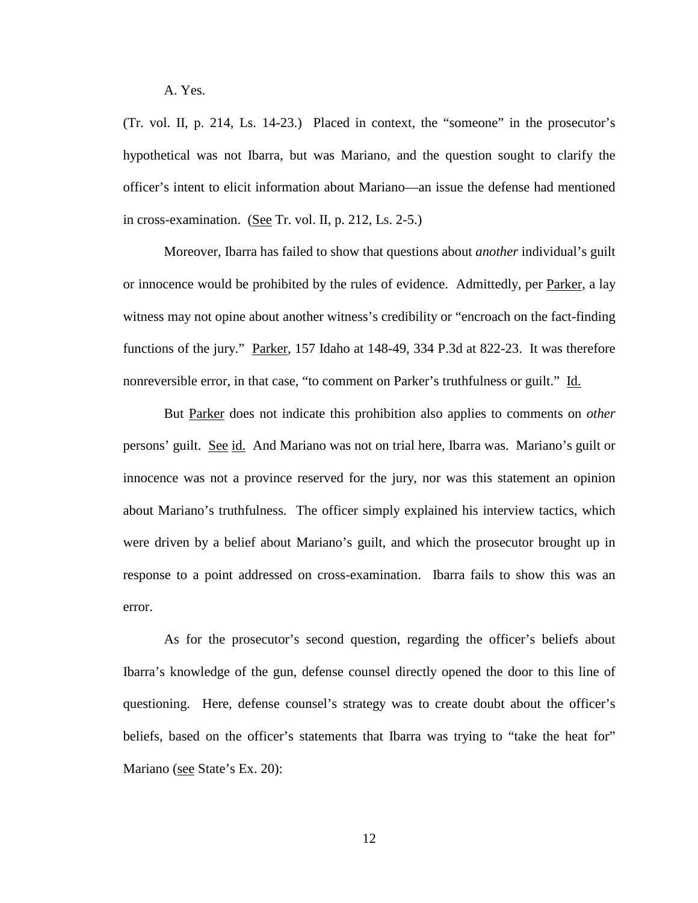A. Yes.

(Tr. vol. II, p. 214, Ls. 14-23.) Placed in context, the "someone" in the prosecutor's hypothetical was not Ibarra, but was Mariano, and the question sought to clarify the officer's intent to elicit information about Mariano—an issue the defense had mentioned in cross-examination. (See Tr. vol. II, p. 212, Ls. 2-5.)

Moreover, Ibarra has failed to show that questions about *another* individual's guilt or innocence would be prohibited by the rules of evidence. Admittedly, per Parker, a lay witness may not opine about another witness's credibility or "encroach on the fact-finding functions of the jury." Parker, 157 Idaho at 148-49, 334 P.3d at 822-23. It was therefore nonreversible error, in that case, "to comment on Parker's truthfulness or guilt." Id.

But Parker does not indicate this prohibition also applies to comments on *other* persons' guilt. See id. And Mariano was not on trial here, Ibarra was. Mariano's guilt or innocence was not a province reserved for the jury, nor was this statement an opinion about Mariano's truthfulness. The officer simply explained his interview tactics, which were driven by a belief about Mariano's guilt, and which the prosecutor brought up in response to a point addressed on cross-examination. Ibarra fails to show this was an error.

As for the prosecutor's second question, regarding the officer's beliefs about Ibarra's knowledge of the gun, defense counsel directly opened the door to this line of questioning. Here, defense counsel's strategy was to create doubt about the officer's beliefs, based on the officer's statements that Ibarra was trying to "take the heat for" Mariano (see State's Ex. 20):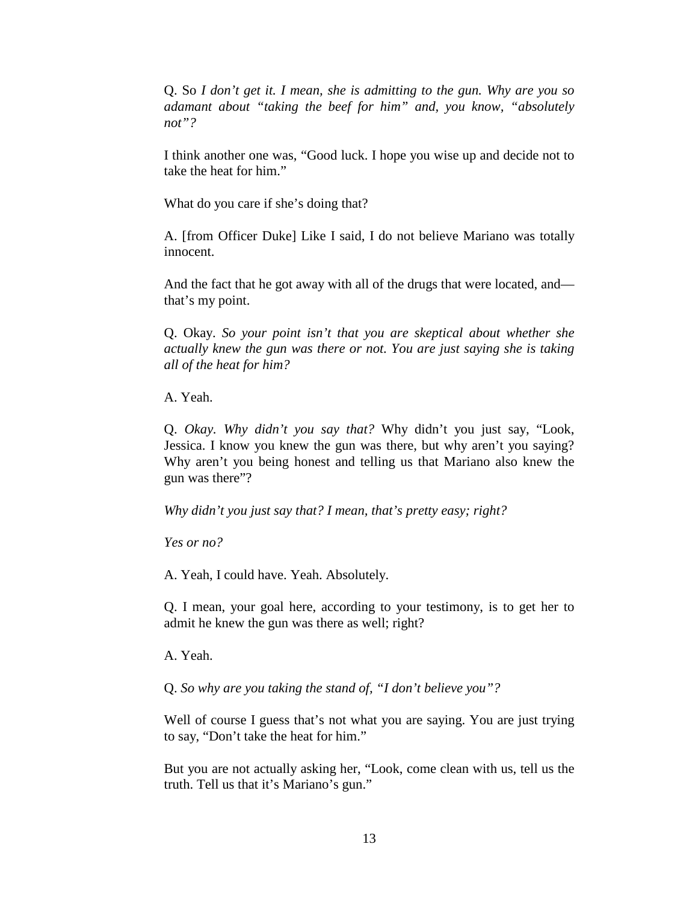Q. So *I don't get it. I mean, she is admitting to the gun. Why are you so adamant about "taking the beef for him" and, you know, "absolutely not"?*

I think another one was, "Good luck. I hope you wise up and decide not to take the heat for him."

What do you care if she's doing that?

A. [from Officer Duke] Like I said, I do not believe Mariano was totally innocent.

And the fact that he got away with all of the drugs that were located, and that's my point.

Q. Okay. *So your point isn't that you are skeptical about whether she actually knew the gun was there or not. You are just saying she is taking all of the heat for him?* 

A. Yeah.

Q. *Okay. Why didn't you say that?* Why didn't you just say, "Look, Jessica. I know you knew the gun was there, but why aren't you saying? Why aren't you being honest and telling us that Mariano also knew the gun was there"?

*Why didn't you just say that? I mean, that's pretty easy; right?* 

*Yes or no?*

A. Yeah, I could have. Yeah. Absolutely.

Q. I mean, your goal here, according to your testimony, is to get her to admit he knew the gun was there as well; right?

A. Yeah.

Q. *So why are you taking the stand of, "I don't believe you"?*

Well of course I guess that's not what you are saying. You are just trying to say, "Don't take the heat for him."

But you are not actually asking her, "Look, come clean with us, tell us the truth. Tell us that it's Mariano's gun."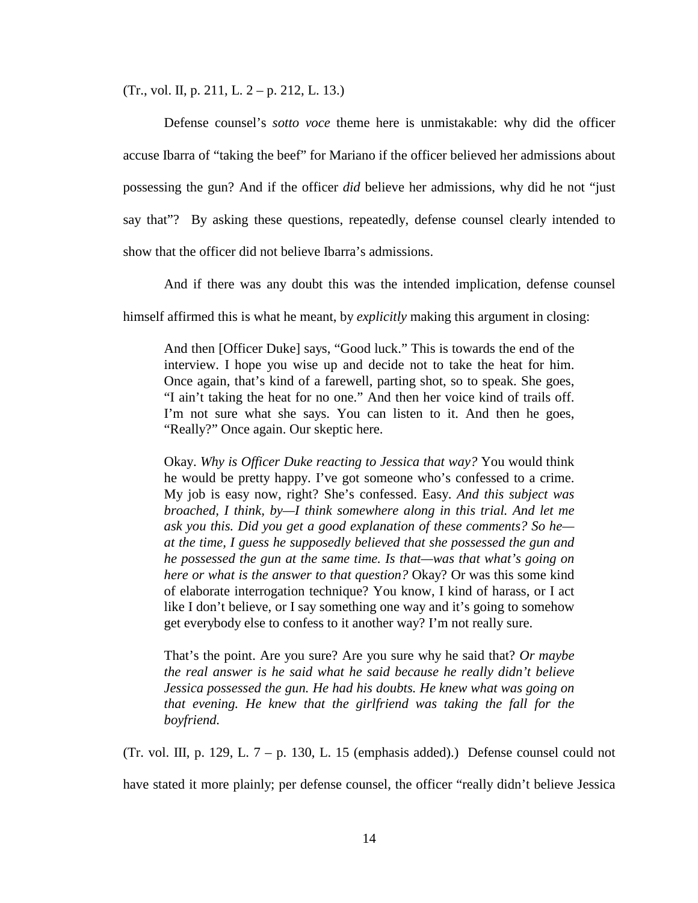(Tr., vol. II, p. 211, L. 2 – p. 212, L. 13.)

Defense counsel's *sotto voce* theme here is unmistakable: why did the officer accuse Ibarra of "taking the beef" for Mariano if the officer believed her admissions about possessing the gun? And if the officer *did* believe her admissions, why did he not "just say that"? By asking these questions, repeatedly, defense counsel clearly intended to show that the officer did not believe Ibarra's admissions.

And if there was any doubt this was the intended implication, defense counsel

himself affirmed this is what he meant, by *explicitly* making this argument in closing:

And then [Officer Duke] says, "Good luck." This is towards the end of the interview. I hope you wise up and decide not to take the heat for him. Once again, that's kind of a farewell, parting shot, so to speak. She goes, "I ain't taking the heat for no one." And then her voice kind of trails off. I'm not sure what she says. You can listen to it. And then he goes, "Really?" Once again. Our skeptic here.

Okay. *Why is Officer Duke reacting to Jessica that way?* You would think he would be pretty happy. I've got someone who's confessed to a crime. My job is easy now, right? She's confessed. Easy. *And this subject was broached, I think, by—I think somewhere along in this trial. And let me ask you this. Did you get a good explanation of these comments? So he at the time, I guess he supposedly believed that she possessed the gun and he possessed the gun at the same time. Is that—was that what's going on here or what is the answer to that question?* Okay? Or was this some kind of elaborate interrogation technique? You know, I kind of harass, or I act like I don't believe, or I say something one way and it's going to somehow get everybody else to confess to it another way? I'm not really sure.

That's the point. Are you sure? Are you sure why he said that? *Or maybe the real answer is he said what he said because he really didn't believe Jessica possessed the gun. He had his doubts. He knew what was going on that evening. He knew that the girlfriend was taking the fall for the boyfriend.* 

(Tr. vol. III, p. 129, L.  $7 - p$ . 130, L. 15 (emphasis added).) Defense counsel could not

have stated it more plainly; per defense counsel, the officer "really didn't believe Jessica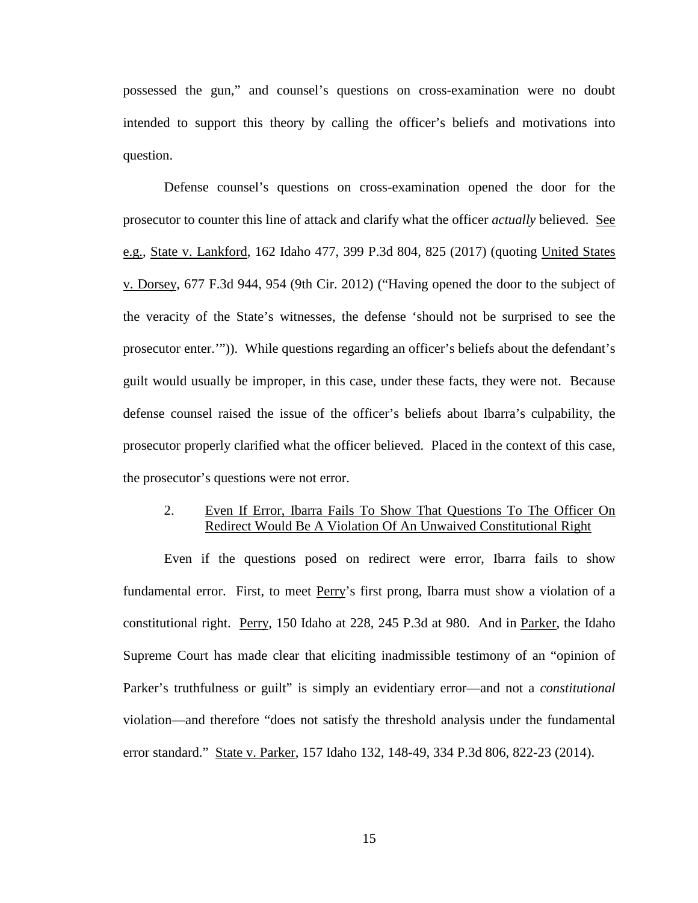possessed the gun," and counsel's questions on cross-examination were no doubt intended to support this theory by calling the officer's beliefs and motivations into question.

Defense counsel's questions on cross-examination opened the door for the prosecutor to counter this line of attack and clarify what the officer *actually* believed. See e.g., State v. Lankford, 162 Idaho 477, 399 P.3d 804, 825 (2017) (quoting United States v. Dorsey, 677 F.3d 944, 954 (9th Cir. 2012) ("Having opened the door to the subject of the veracity of the State's witnesses, the defense 'should not be surprised to see the prosecutor enter.'")). While questions regarding an officer's beliefs about the defendant's guilt would usually be improper, in this case, under these facts, they were not. Because defense counsel raised the issue of the officer's beliefs about Ibarra's culpability, the prosecutor properly clarified what the officer believed. Placed in the context of this case, the prosecutor's questions were not error.

### 2. Even If Error, Ibarra Fails To Show That Questions To The Officer On Redirect Would Be A Violation Of An Unwaived Constitutional Right

Even if the questions posed on redirect were error, Ibarra fails to show fundamental error. First, to meet Perry's first prong, Ibarra must show a violation of a constitutional right. Perry, 150 Idaho at 228, 245 P.3d at 980. And in Parker, the Idaho Supreme Court has made clear that eliciting inadmissible testimony of an "opinion of Parker's truthfulness or guilt" is simply an evidentiary error—and not a *constitutional* violation—and therefore "does not satisfy the threshold analysis under the fundamental error standard." State v. Parker, 157 Idaho 132, 148-49, 334 P.3d 806, 822-23 (2014).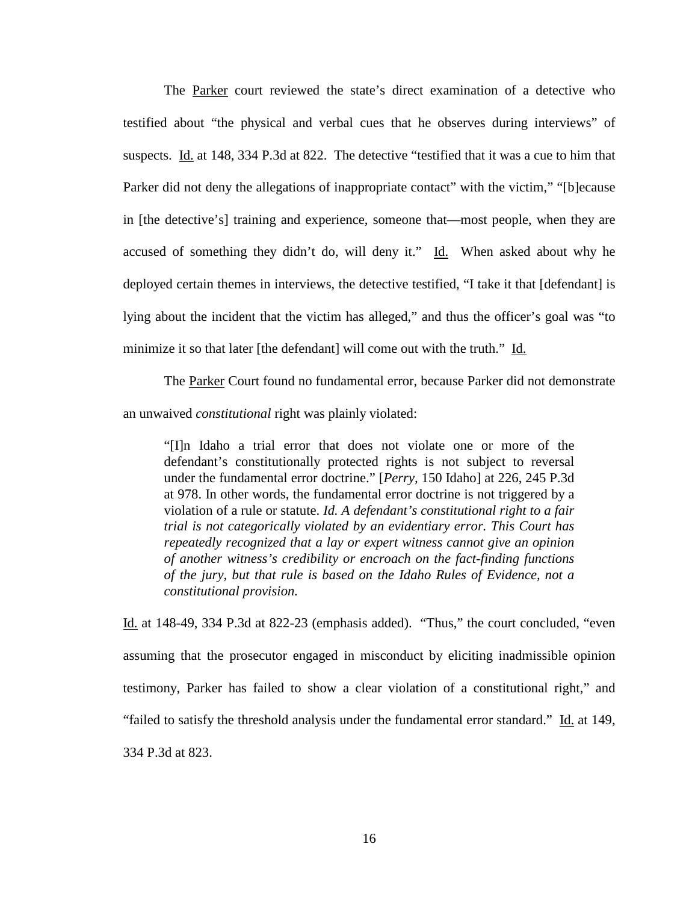The Parker court reviewed the state's direct examination of a detective who testified about "the physical and verbal cues that he observes during interviews" of suspects. Id. at 148, 334 P.3d at 822. The detective "testified that it was a cue to him that Parker did not deny the allegations of inappropriate contact" with the victim," "[b]ecause in [the detective's] training and experience, someone that—most people, when they are accused of something they didn't do, will deny it." Id. When asked about why he deployed certain themes in interviews, the detective testified, "I take it that [defendant] is lying about the incident that the victim has alleged," and thus the officer's goal was "to minimize it so that later [the defendant] will come out with the truth." Id.

The Parker Court found no fundamental error, because Parker did not demonstrate an unwaived *constitutional* right was plainly violated:

"[I]n Idaho a trial error that does not violate one or more of the defendant's constitutionally protected rights is not subject to reversal under the fundamental error doctrine." [*Perry,* 150 Idaho] at 226, 245 P.3d at 978. In other words, the fundamental error doctrine is not triggered by a violation of a rule or statute. *Id. A defendant's constitutional right to a fair trial is not categorically violated by an evidentiary error. This Court has repeatedly recognized that a lay or expert witness cannot give an opinion of another witness's credibility or encroach on the fact-finding functions of the jury, but that rule is based on the Idaho Rules of Evidence, not a constitutional provision.*

Id. at 148-49, 334 P.3d at 822-23 (emphasis added). "Thus," the court concluded, "even assuming that the prosecutor engaged in misconduct by eliciting inadmissible opinion testimony, Parker has failed to show a clear violation of a constitutional right," and "failed to satisfy the threshold analysis under the fundamental error standard." Id. at 149, 334 P.3d at 823.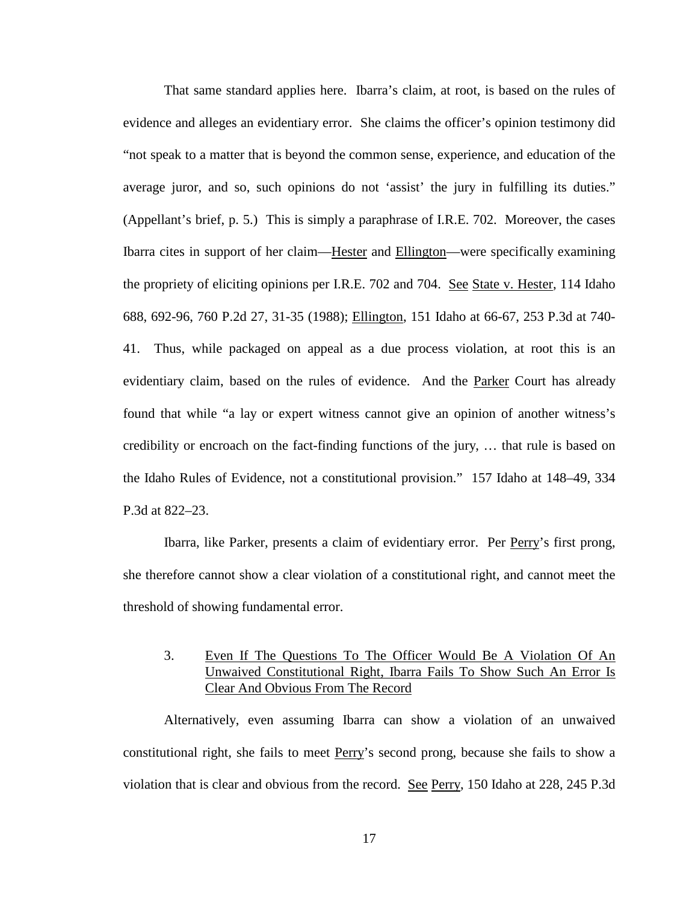That same standard applies here. Ibarra's claim, at root, is based on the rules of evidence and alleges an evidentiary error. She claims the officer's opinion testimony did "not speak to a matter that is beyond the common sense, experience, and education of the average juror, and so, such opinions do not 'assist' the jury in fulfilling its duties." (Appellant's brief, p. 5.) This is simply a paraphrase of I.R.E. 702. Moreover, the cases Ibarra cites in support of her claim—Hester and Ellington—were specifically examining the propriety of eliciting opinions per I.R.E. 702 and 704. See State v. Hester, 114 Idaho 688, 692-96, 760 P.2d 27, 31-35 (1988); Ellington, 151 Idaho at 66-67, 253 P.3d at 740- 41. Thus, while packaged on appeal as a due process violation, at root this is an evidentiary claim, based on the rules of evidence. And the Parker Court has already found that while "a lay or expert witness cannot give an opinion of another witness's credibility or encroach on the fact-finding functions of the jury, … that rule is based on the Idaho Rules of Evidence, not a constitutional provision." 157 Idaho at 148–49, 334 P.3d at 822–23.

Ibarra, like Parker, presents a claim of evidentiary error. Per Perry's first prong, she therefore cannot show a clear violation of a constitutional right, and cannot meet the threshold of showing fundamental error.

## 3. Even If The Questions To The Officer Would Be A Violation Of An Unwaived Constitutional Right, Ibarra Fails To Show Such An Error Is Clear And Obvious From The Record

Alternatively, even assuming Ibarra can show a violation of an unwaived constitutional right, she fails to meet Perry's second prong, because she fails to show a violation that is clear and obvious from the record. See Perry, 150 Idaho at 228, 245 P.3d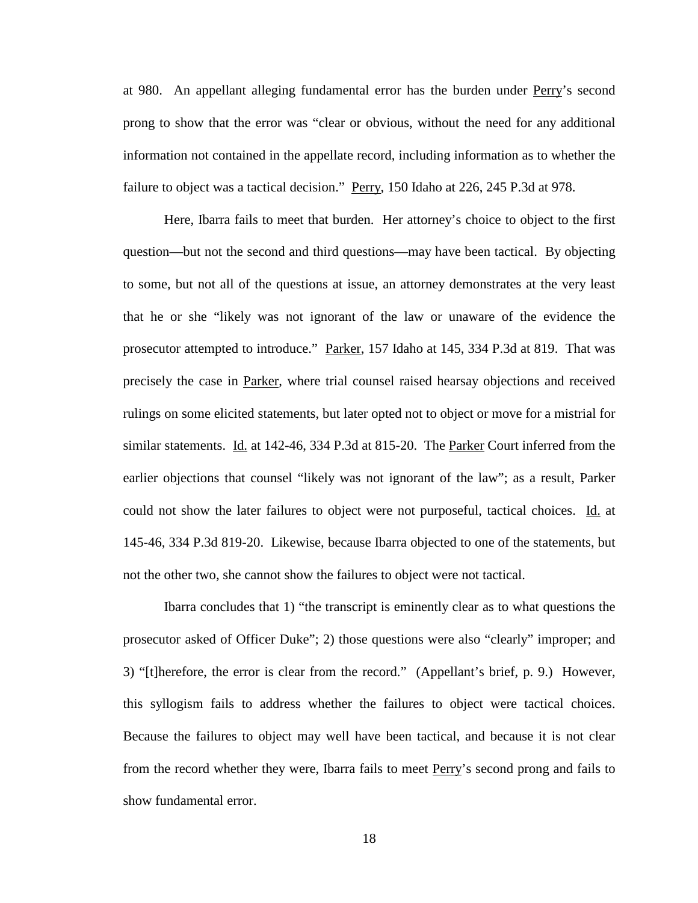at 980. An appellant alleging fundamental error has the burden under Perry's second prong to show that the error was "clear or obvious, without the need for any additional information not contained in the appellate record, including information as to whether the failure to object was a tactical decision." Perry, 150 Idaho at 226, 245 P.3d at 978.

Here, Ibarra fails to meet that burden. Her attorney's choice to object to the first question—but not the second and third questions—may have been tactical. By objecting to some, but not all of the questions at issue, an attorney demonstrates at the very least that he or she "likely was not ignorant of the law or unaware of the evidence the prosecutor attempted to introduce." Parker, 157 Idaho at 145, 334 P.3d at 819. That was precisely the case in Parker, where trial counsel raised hearsay objections and received rulings on some elicited statements, but later opted not to object or move for a mistrial for similar statements. Id. at 142-46, 334 P.3d at 815-20. The Parker Court inferred from the earlier objections that counsel "likely was not ignorant of the law"; as a result, Parker could not show the later failures to object were not purposeful, tactical choices. Id. at 145-46, 334 P.3d 819-20. Likewise, because Ibarra objected to one of the statements, but not the other two, she cannot show the failures to object were not tactical.

Ibarra concludes that 1) "the transcript is eminently clear as to what questions the prosecutor asked of Officer Duke"; 2) those questions were also "clearly" improper; and 3) "[t]herefore, the error is clear from the record." (Appellant's brief, p. 9.) However, this syllogism fails to address whether the failures to object were tactical choices. Because the failures to object may well have been tactical, and because it is not clear from the record whether they were, Ibarra fails to meet Perry's second prong and fails to show fundamental error.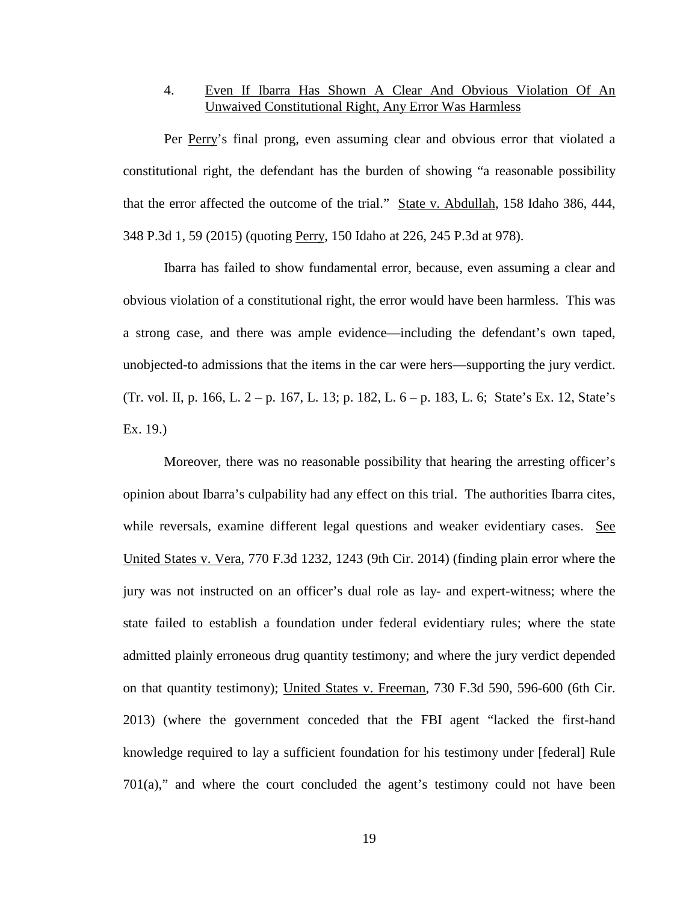## 4. Even If Ibarra Has Shown A Clear And Obvious Violation Of An Unwaived Constitutional Right, Any Error Was Harmless

Per Perry's final prong, even assuming clear and obvious error that violated a constitutional right, the defendant has the burden of showing "a reasonable possibility that the error affected the outcome of the trial." State v. Abdullah, 158 Idaho 386, 444, 348 P.3d 1, 59 (2015) (quoting Perry, 150 Idaho at 226, 245 P.3d at 978).

Ibarra has failed to show fundamental error, because, even assuming a clear and obvious violation of a constitutional right, the error would have been harmless. This was a strong case, and there was ample evidence—including the defendant's own taped, unobjected-to admissions that the items in the car were hers—supporting the jury verdict. (Tr. vol. II, p. 166, L. 2 – p. 167, L. 13; p. 182, L. 6 – p. 183, L. 6; State's Ex. 12, State's Ex. 19.)

Moreover, there was no reasonable possibility that hearing the arresting officer's opinion about Ibarra's culpability had any effect on this trial. The authorities Ibarra cites, while reversals, examine different legal questions and weaker evidentiary cases. See United States v. Vera, 770 F.3d 1232, 1243 (9th Cir. 2014) (finding plain error where the jury was not instructed on an officer's dual role as lay- and expert-witness; where the state failed to establish a foundation under federal evidentiary rules; where the state admitted plainly erroneous drug quantity testimony; and where the jury verdict depended on that quantity testimony); United States v. Freeman, 730 F.3d 590, 596-600 (6th Cir. 2013) (where the government conceded that the FBI agent "lacked the first-hand knowledge required to lay a sufficient foundation for his testimony under [federal] Rule  $701(a)$ ," and where the court concluded the agent's testimony could not have been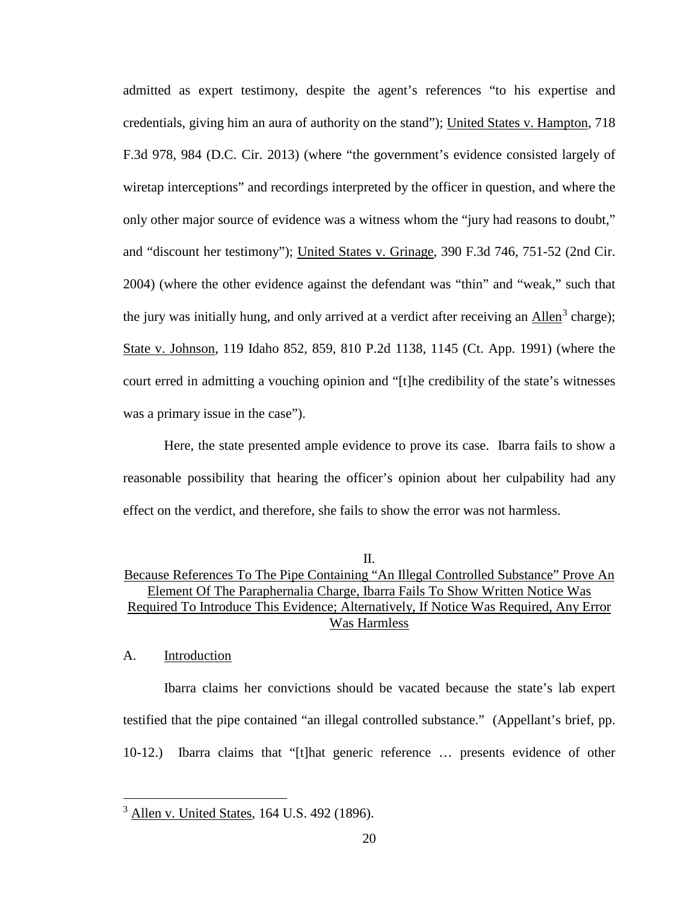admitted as expert testimony, despite the agent's references "to his expertise and credentials, giving him an aura of authority on the stand"); United States v. Hampton, 718 F.3d 978, 984 (D.C. Cir. 2013) (where "the government's evidence consisted largely of wiretap interceptions" and recordings interpreted by the officer in question, and where the only other major source of evidence was a witness whom the "jury had reasons to doubt," and "discount her testimony"); United States v. Grinage, 390 F.3d 746, 751-52 (2nd Cir. 2004) (where the other evidence against the defendant was "thin" and "weak," such that the jury was initially hung, and only arrived at a verdict after receiving an Allen<sup>[3](#page-25-0)</sup> charge); State v. Johnson, 119 Idaho 852, 859, 810 P.2d 1138, 1145 (Ct. App. 1991) (where the court erred in admitting a vouching opinion and "[t]he credibility of the state's witnesses was a primary issue in the case").

Here, the state presented ample evidence to prove its case. Ibarra fails to show a reasonable possibility that hearing the officer's opinion about her culpability had any effect on the verdict, and therefore, she fails to show the error was not harmless.

#### A. Introduction

 $\overline{a}$ 

Ibarra claims her convictions should be vacated because the state's lab expert testified that the pipe contained "an illegal controlled substance." (Appellant's brief, pp. 10-12.) Ibarra claims that "[t]hat generic reference … presents evidence of other

II. Because References To The Pipe Containing "An Illegal Controlled Substance" Prove An Element Of The Paraphernalia Charge, Ibarra Fails To Show Written Notice Was Required To Introduce This Evidence; Alternatively, If Notice Was Required, Any Error Was Harmless

<span id="page-25-0"></span><sup>3</sup> Allen v. United States, 164 U.S. 492 (1896).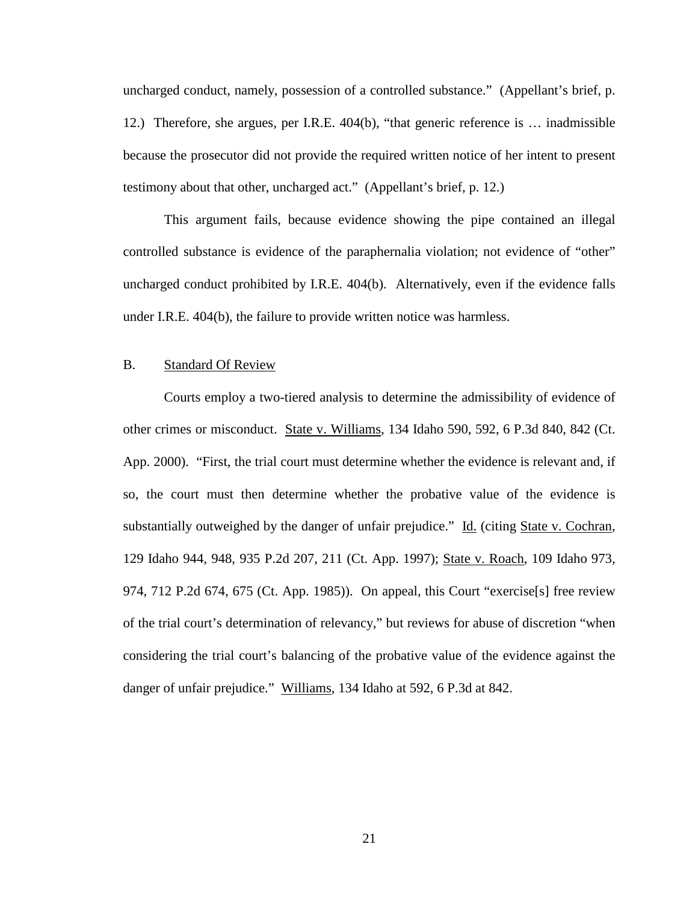uncharged conduct, namely, possession of a controlled substance." (Appellant's brief, p. 12.) Therefore, she argues, per I.R.E. 404(b), "that generic reference is … inadmissible because the prosecutor did not provide the required written notice of her intent to present testimony about that other, uncharged act." (Appellant's brief, p. 12.)

This argument fails, because evidence showing the pipe contained an illegal controlled substance is evidence of the paraphernalia violation; not evidence of "other" uncharged conduct prohibited by I.R.E. 404(b). Alternatively, even if the evidence falls under I.R.E. 404(b), the failure to provide written notice was harmless.

#### B. Standard Of Review

Courts employ a two-tiered analysis to determine the admissibility of evidence of other crimes or misconduct. State v. Williams, 134 Idaho 590, 592, 6 P.3d 840, 842 (Ct. App. 2000). "First, the trial court must determine whether the evidence is relevant and, if so, the court must then determine whether the probative value of the evidence is substantially outweighed by the danger of unfair prejudice." Id. (citing State v. Cochran, 129 Idaho 944, 948, 935 P.2d 207, 211 (Ct. App. 1997); State v. Roach, 109 Idaho 973, 974, 712 P.2d 674, 675 (Ct. App. 1985)). On appeal, this Court "exercise[s] free review of the trial court's determination of relevancy," but reviews for abuse of discretion "when considering the trial court's balancing of the probative value of the evidence against the danger of unfair prejudice." Williams, 134 Idaho at 592, 6 P.3d at 842.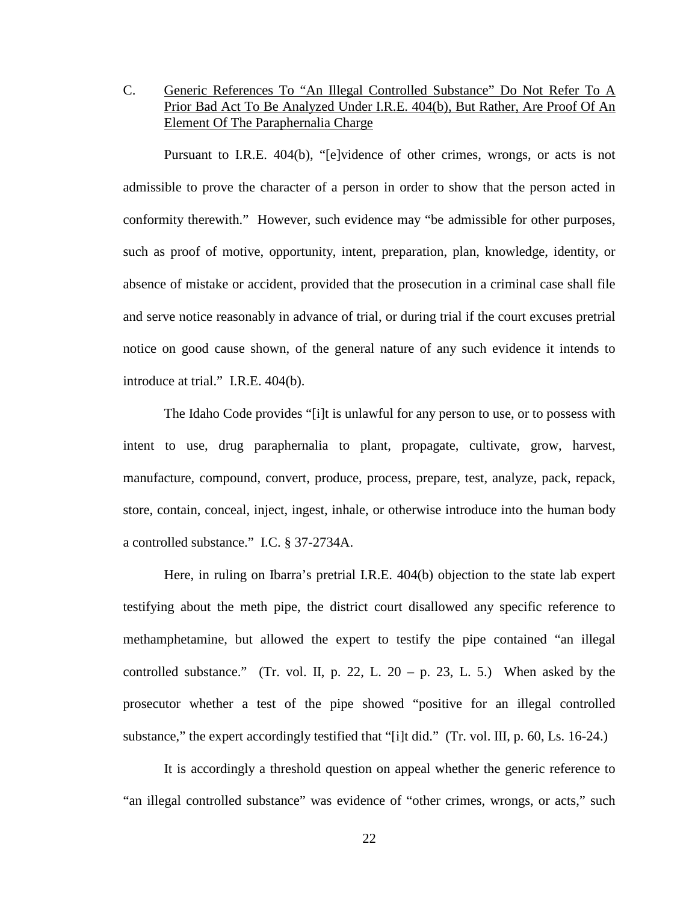## C. Generic References To "An Illegal Controlled Substance" Do Not Refer To A Prior Bad Act To Be Analyzed Under I.R.E. 404(b), But Rather, Are Proof Of An Element Of The Paraphernalia Charge

Pursuant to I.R.E. 404(b), "[e]vidence of other crimes, wrongs, or acts is not admissible to prove the character of a person in order to show that the person acted in conformity therewith." However, such evidence may "be admissible for other purposes, such as proof of motive, opportunity, intent, preparation, plan, knowledge, identity, or absence of mistake or accident, provided that the prosecution in a criminal case shall file and serve notice reasonably in advance of trial, or during trial if the court excuses pretrial notice on good cause shown, of the general nature of any such evidence it intends to introduce at trial." I.R.E. 404(b).

The Idaho Code provides "[i]t is unlawful for any person to use, or to possess with intent to use, drug paraphernalia to plant, propagate, cultivate, grow, harvest, manufacture, compound, convert, produce, process, prepare, test, analyze, pack, repack, store, contain, conceal, inject, ingest, inhale, or otherwise introduce into the human body a controlled substance." I.C. § 37-2734A.

Here, in ruling on Ibarra's pretrial I.R.E. 404(b) objection to the state lab expert testifying about the meth pipe, the district court disallowed any specific reference to methamphetamine, but allowed the expert to testify the pipe contained "an illegal controlled substance." (Tr. vol. II, p. 22, L.  $20 - p$ , 23, L. 5.) When asked by the prosecutor whether a test of the pipe showed "positive for an illegal controlled substance," the expert accordingly testified that "[i]t did." (Tr. vol. III, p. 60, Ls. 16-24.)

It is accordingly a threshold question on appeal whether the generic reference to "an illegal controlled substance" was evidence of "other crimes, wrongs, or acts," such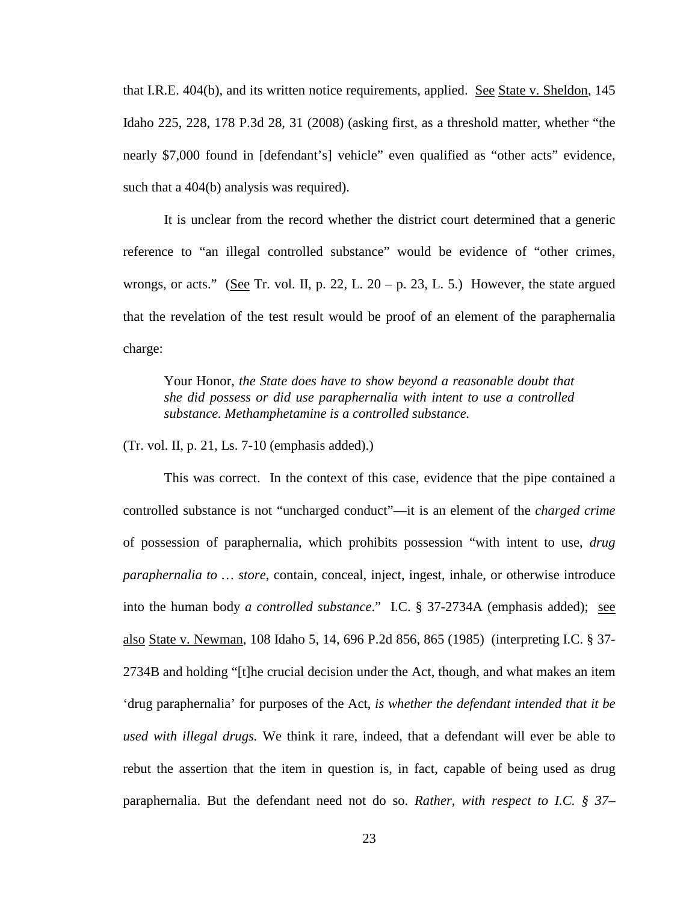that I.R.E. 404(b), and its written notice requirements, applied. See State v. Sheldon, 145 Idaho 225, 228, 178 P.3d 28, 31 (2008) (asking first, as a threshold matter, whether "the nearly \$7,000 found in [defendant's] vehicle" even qualified as "other acts" evidence, such that a 404(b) analysis was required).

It is unclear from the record whether the district court determined that a generic reference to "an illegal controlled substance" would be evidence of "other crimes, wrongs, or acts." (See Tr. vol. II, p. 22, L. 20 – p. 23, L. 5.) However, the state argued that the revelation of the test result would be proof of an element of the paraphernalia charge:

Your Honor, *the State does have to show beyond a reasonable doubt that she did possess or did use paraphernalia with intent to use a controlled substance. Methamphetamine is a controlled substance.*

(Tr. vol. II, p. 21, Ls. 7-10 (emphasis added).)

This was correct. In the context of this case, evidence that the pipe contained a controlled substance is not "uncharged conduct"—it is an element of the *charged crime* of possession of paraphernalia, which prohibits possession "with intent to use, *drug paraphernalia to … store*, contain, conceal, inject, ingest, inhale, or otherwise introduce into the human body *a controlled substance*." I.C. § 37-2734A (emphasis added); see also State v. Newman, 108 Idaho 5, 14, 696 P.2d 856, 865 (1985) (interpreting I.C. § 37- 2734B and holding "[t]he crucial decision under the Act, though, and what makes an item 'drug paraphernalia' for purposes of the Act, *is whether the defendant intended that it be used with illegal drugs.* We think it rare, indeed, that a defendant will ever be able to rebut the assertion that the item in question is, in fact, capable of being used as drug paraphernalia. But the defendant need not do so. *Rather, with respect to I.C. § 37–*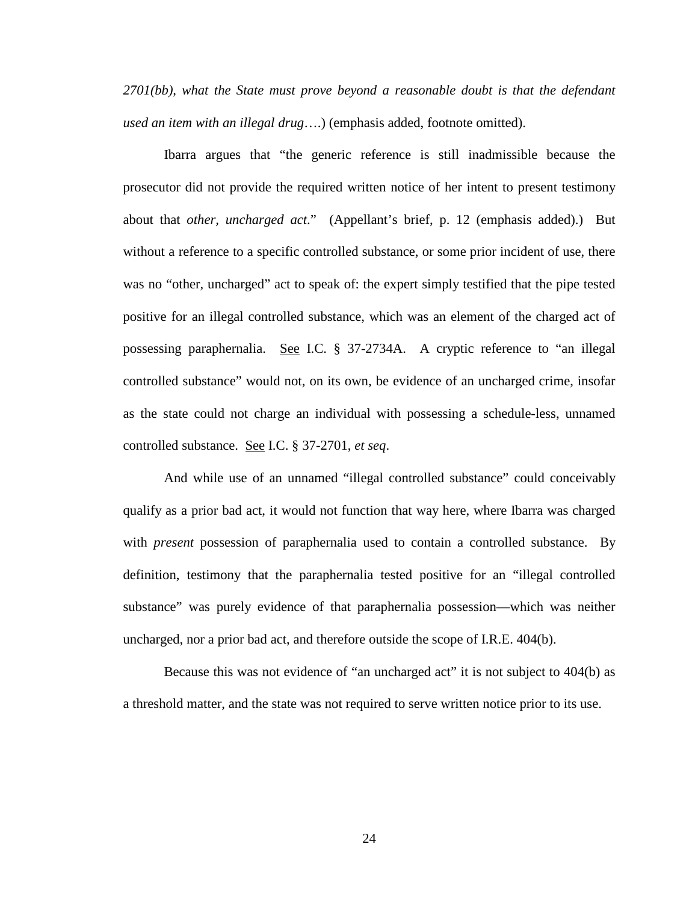*2701(bb), what the State must prove beyond a reasonable doubt is that the defendant used an item with an illegal drug*….) (emphasis added, footnote omitted).

Ibarra argues that "the generic reference is still inadmissible because the prosecutor did not provide the required written notice of her intent to present testimony about that *other, uncharged act*." (Appellant's brief, p. 12 (emphasis added).) But without a reference to a specific controlled substance, or some prior incident of use, there was no "other, uncharged" act to speak of: the expert simply testified that the pipe tested positive for an illegal controlled substance, which was an element of the charged act of possessing paraphernalia. See I.C. § 37-2734A. A cryptic reference to "an illegal controlled substance" would not, on its own, be evidence of an uncharged crime, insofar as the state could not charge an individual with possessing a schedule-less, unnamed controlled substance. See I.C. § 37-2701, *et seq*.

And while use of an unnamed "illegal controlled substance" could conceivably qualify as a prior bad act, it would not function that way here, where Ibarra was charged with *present* possession of paraphernalia used to contain a controlled substance. By definition, testimony that the paraphernalia tested positive for an "illegal controlled substance" was purely evidence of that paraphernalia possession—which was neither uncharged, nor a prior bad act, and therefore outside the scope of I.R.E. 404(b).

Because this was not evidence of "an uncharged act" it is not subject to 404(b) as a threshold matter, and the state was not required to serve written notice prior to its use.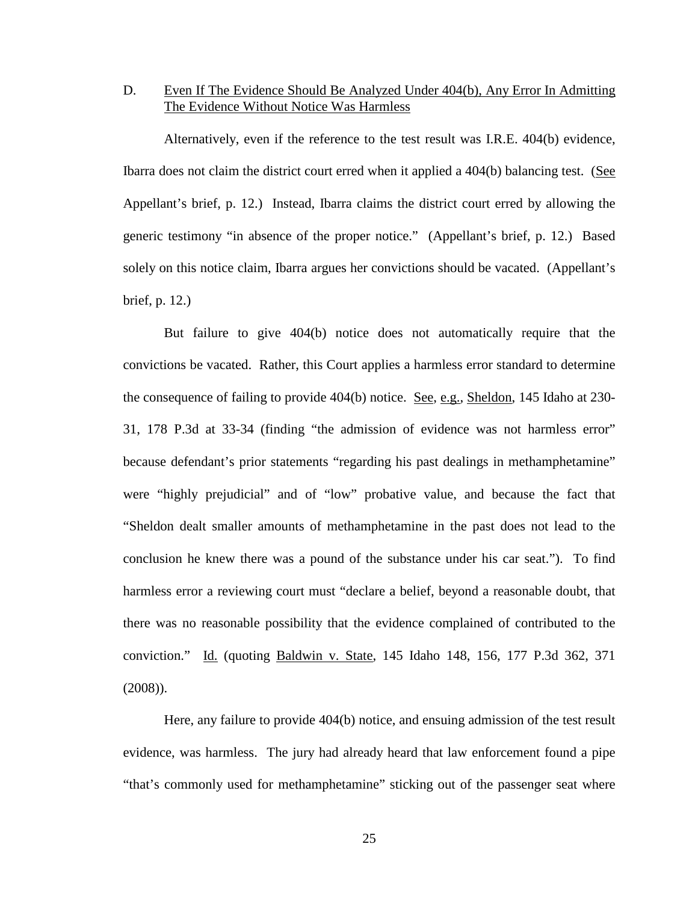### D. Even If The Evidence Should Be Analyzed Under 404(b), Any Error In Admitting The Evidence Without Notice Was Harmless

Alternatively, even if the reference to the test result was I.R.E. 404(b) evidence, Ibarra does not claim the district court erred when it applied a 404(b) balancing test. (See Appellant's brief, p. 12.) Instead, Ibarra claims the district court erred by allowing the generic testimony "in absence of the proper notice." (Appellant's brief, p. 12.) Based solely on this notice claim, Ibarra argues her convictions should be vacated. (Appellant's brief, p. 12.)

But failure to give 404(b) notice does not automatically require that the convictions be vacated. Rather, this Court applies a harmless error standard to determine the consequence of failing to provide 404(b) notice. See, e.g., Sheldon, 145 Idaho at 230- 31, 178 P.3d at 33-34 (finding "the admission of evidence was not harmless error" because defendant's prior statements "regarding his past dealings in methamphetamine" were "highly prejudicial" and of "low" probative value, and because the fact that "Sheldon dealt smaller amounts of methamphetamine in the past does not lead to the conclusion he knew there was a pound of the substance under his car seat."). To find harmless error a reviewing court must "declare a belief, beyond a reasonable doubt, that there was no reasonable possibility that the evidence complained of contributed to the conviction." Id. (quoting Baldwin v. State, 145 Idaho 148, 156, 177 P.3d 362, 371 (2008)).

Here, any failure to provide 404(b) notice, and ensuing admission of the test result evidence, was harmless. The jury had already heard that law enforcement found a pipe "that's commonly used for methamphetamine" sticking out of the passenger seat where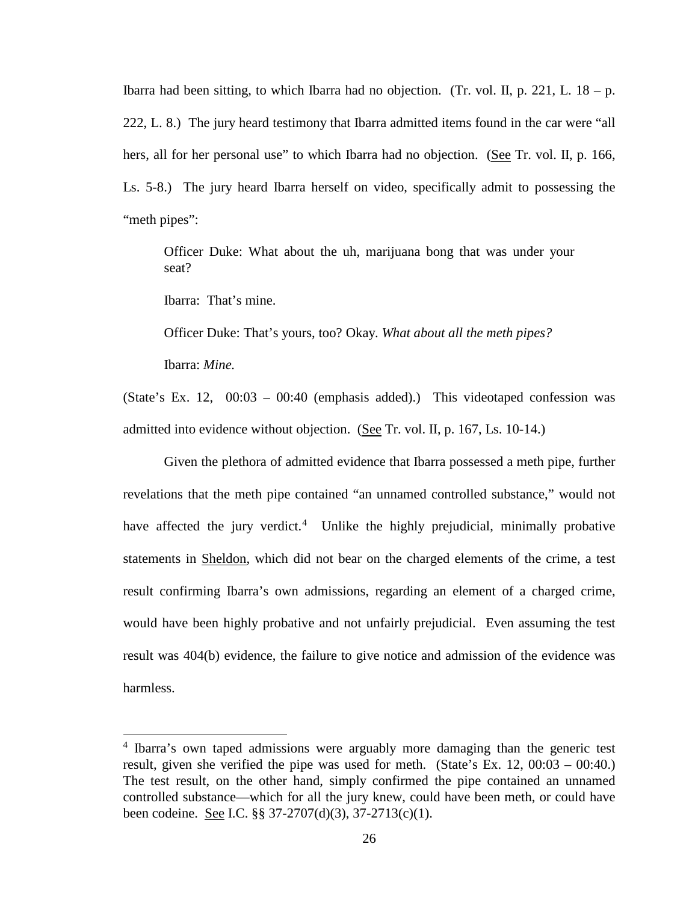Ibarra had been sitting, to which Ibarra had no objection. (Tr. vol. II, p. 221, L.  $18 - p$ . 222, L. 8.) The jury heard testimony that Ibarra admitted items found in the car were "all hers, all for her personal use" to which Ibarra had no objection. (See Tr. vol. II, p. 166, Ls. 5-8.) The jury heard Ibarra herself on video, specifically admit to possessing the "meth pipes":

Officer Duke: What about the uh, marijuana bong that was under your seat?

Ibarra: That's mine.

Officer Duke: That's yours, too? Okay. *What about all the meth pipes?*

Ibarra: *Mine.*

 $\overline{a}$ 

(State's Ex. 12, 00:03 – 00:40 (emphasis added).) This videotaped confession was admitted into evidence without objection. (See Tr. vol. II, p. 167, Ls. 10-14.)

Given the plethora of admitted evidence that Ibarra possessed a meth pipe, further revelations that the meth pipe contained "an unnamed controlled substance," would not have affected the jury verdict.<sup>[4](#page-31-0)</sup> Unlike the highly prejudicial, minimally probative statements in Sheldon, which did not bear on the charged elements of the crime, a test result confirming Ibarra's own admissions, regarding an element of a charged crime, would have been highly probative and not unfairly prejudicial. Even assuming the test result was 404(b) evidence, the failure to give notice and admission of the evidence was harmless.

<span id="page-31-0"></span><sup>4</sup> Ibarra's own taped admissions were arguably more damaging than the generic test result, given she verified the pipe was used for meth. (State's Ex. 12, 00:03 – 00:40.) The test result, on the other hand, simply confirmed the pipe contained an unnamed controlled substance—which for all the jury knew, could have been meth, or could have been codeine. See I.C. §§ 37-2707(d)(3), 37-2713(c)(1).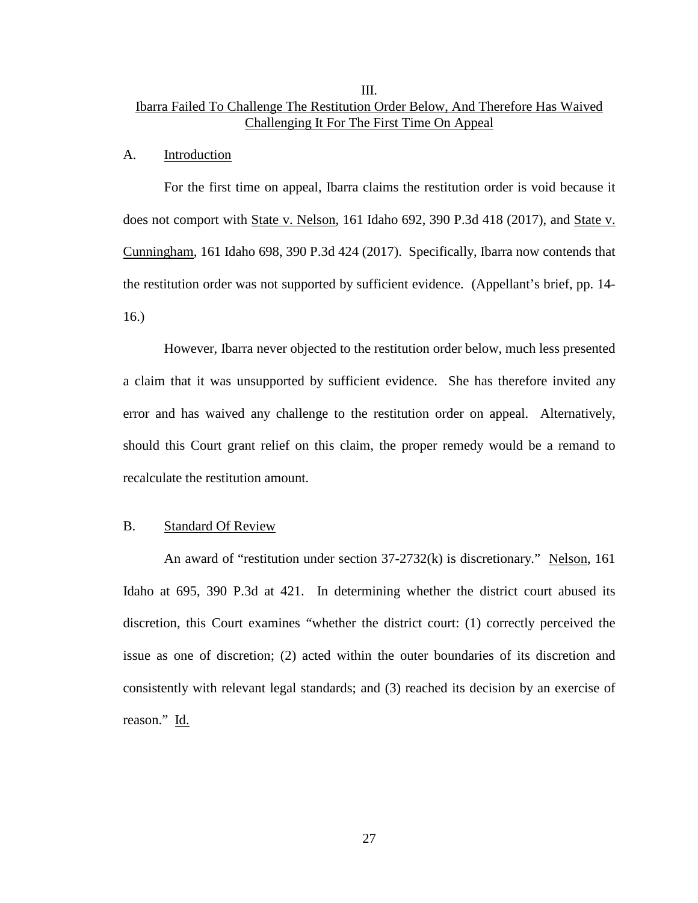## III. Ibarra Failed To Challenge The Restitution Order Below, And Therefore Has Waived Challenging It For The First Time On Appeal

#### A. Introduction

For the first time on appeal, Ibarra claims the restitution order is void because it does not comport with State v. Nelson, 161 Idaho 692, 390 P.3d 418 (2017), and State v. Cunningham, 161 Idaho 698, 390 P.3d 424 (2017). Specifically, Ibarra now contends that the restitution order was not supported by sufficient evidence. (Appellant's brief, pp. 14- 16.)

However, Ibarra never objected to the restitution order below, much less presented a claim that it was unsupported by sufficient evidence. She has therefore invited any error and has waived any challenge to the restitution order on appeal. Alternatively, should this Court grant relief on this claim, the proper remedy would be a remand to recalculate the restitution amount.

#### B. Standard Of Review

An award of "restitution under section 37-2732(k) is discretionary." Nelson, 161 Idaho at 695, 390 P.3d at 421. In determining whether the district court abused its discretion, this Court examines "whether the district court: (1) correctly perceived the issue as one of discretion; (2) acted within the outer boundaries of its discretion and consistently with relevant legal standards; and (3) reached its decision by an exercise of reason." Id.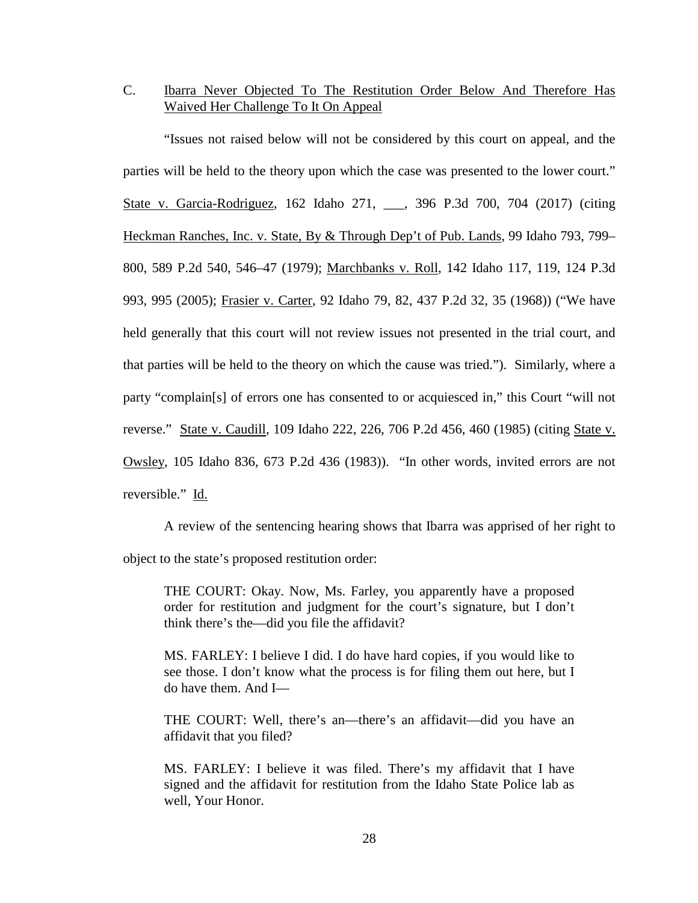C. Ibarra Never Objected To The Restitution Order Below And Therefore Has Waived Her Challenge To It On Appeal

"Issues not raised below will not be considered by this court on appeal, and the parties will be held to the theory upon which the case was presented to the lower court." State v. Garcia-Rodriguez, 162 Idaho 271, \_\_\_, 396 P.3d 700, 704 (2017) (citing Heckman Ranches, Inc. v. State, By & Through Dep't of Pub. Lands, 99 Idaho 793, 799– 800, 589 P.2d 540, 546–47 (1979); Marchbanks v. Roll, 142 Idaho 117, 119, 124 P.3d 993, 995 (2005); Frasier v. Carter, 92 Idaho 79, 82, 437 P.2d 32, 35 (1968)) ("We have held generally that this court will not review issues not presented in the trial court, and that parties will be held to the theory on which the cause was tried."). Similarly, where a party "complain[s] of errors one has consented to or acquiesced in," this Court "will not reverse." State v. Caudill, 109 Idaho 222, 226, 706 P.2d 456, 460 (1985) (citing State v. Owsley, 105 Idaho 836, 673 P.2d 436 (1983)). "In other words, invited errors are not reversible." Id.

A review of the sentencing hearing shows that Ibarra was apprised of her right to object to the state's proposed restitution order:

THE COURT: Okay. Now, Ms. Farley, you apparently have a proposed order for restitution and judgment for the court's signature, but I don't think there's the—did you file the affidavit?

MS. FARLEY: I believe I did. I do have hard copies, if you would like to see those. I don't know what the process is for filing them out here, but I do have them. And I—

THE COURT: Well, there's an—there's an affidavit—did you have an affidavit that you filed?

MS. FARLEY: I believe it was filed. There's my affidavit that I have signed and the affidavit for restitution from the Idaho State Police lab as well, Your Honor.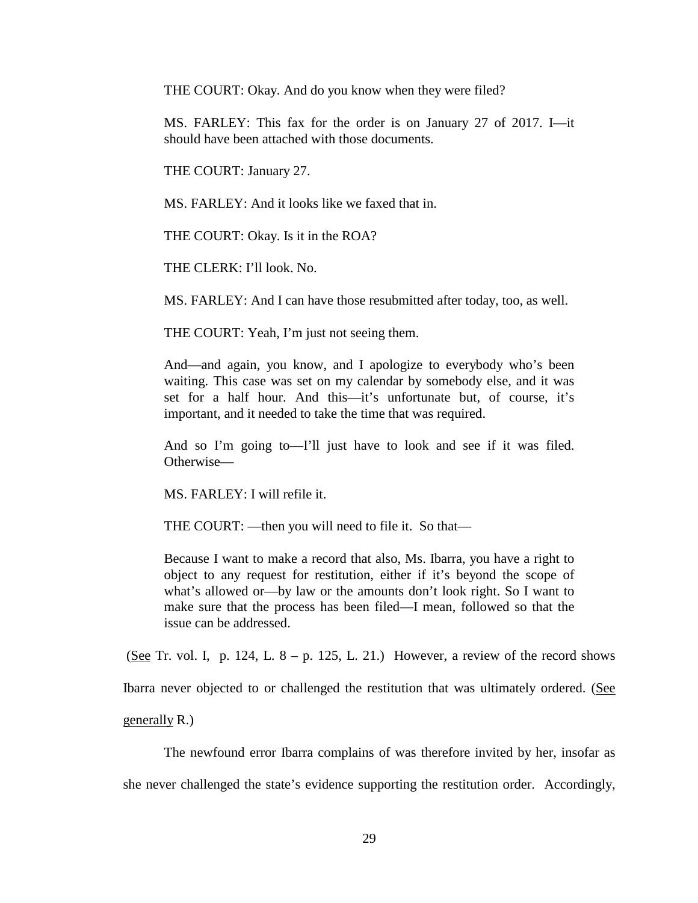THE COURT: Okay. And do you know when they were filed?

MS. FARLEY: This fax for the order is on January 27 of 2017. I—it should have been attached with those documents.

THE COURT: January 27.

MS. FARLEY: And it looks like we faxed that in.

THE COURT: Okay. Is it in the ROA?

THE CLERK: I'll look. No.

MS. FARLEY: And I can have those resubmitted after today, too, as well.

THE COURT: Yeah, I'm just not seeing them.

And—and again, you know, and I apologize to everybody who's been waiting. This case was set on my calendar by somebody else, and it was set for a half hour. And this—it's unfortunate but, of course, it's important, and it needed to take the time that was required.

And so I'm going to—I'll just have to look and see if it was filed. Otherwise—

MS. FARLEY: I will refile it.

THE COURT: —then you will need to file it. So that—

Because I want to make a record that also, Ms. Ibarra, you have a right to object to any request for restitution, either if it's beyond the scope of what's allowed or—by law or the amounts don't look right. So I want to make sure that the process has been filed—I mean, followed so that the issue can be addressed.

(See Tr. vol. I, p. 124, L.  $8 - p$ . 125, L. 21.) However, a review of the record shows

Ibarra never objected to or challenged the restitution that was ultimately ordered. (See

generally R.)

The newfound error Ibarra complains of was therefore invited by her, insofar as she never challenged the state's evidence supporting the restitution order. Accordingly,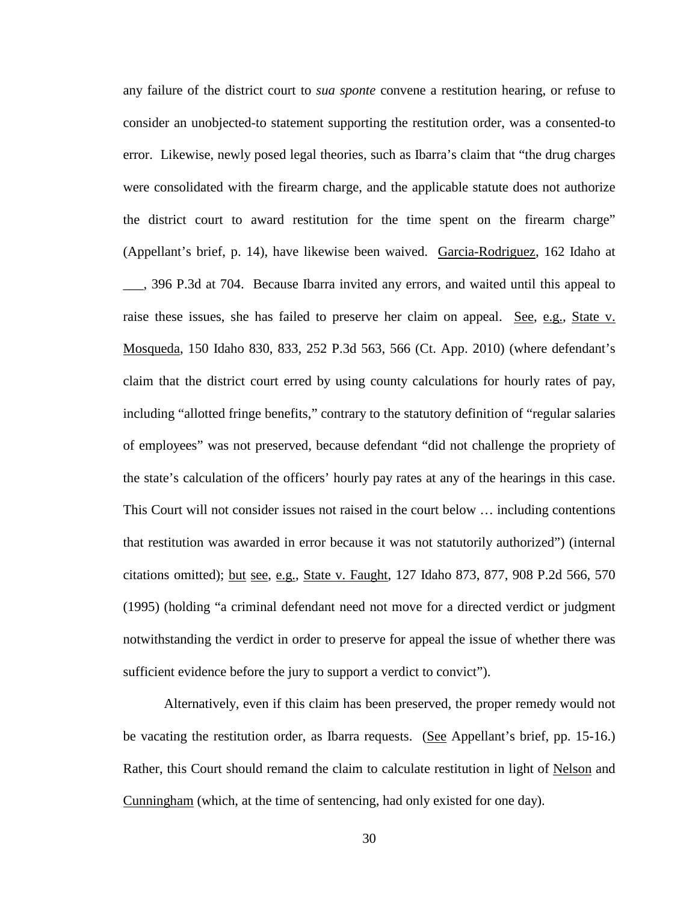any failure of the district court to *sua sponte* convene a restitution hearing, or refuse to consider an unobjected-to statement supporting the restitution order, was a consented-to error. Likewise, newly posed legal theories, such as Ibarra's claim that "the drug charges were consolidated with the firearm charge, and the applicable statute does not authorize the district court to award restitution for the time spent on the firearm charge" (Appellant's brief, p. 14), have likewise been waived. Garcia-Rodriguez, 162 Idaho at \_\_\_, 396 P.3d at 704. Because Ibarra invited any errors, and waited until this appeal to raise these issues, she has failed to preserve her claim on appeal. See, e.g., State v. Mosqueda, 150 Idaho 830, 833, 252 P.3d 563, 566 (Ct. App. 2010) (where defendant's claim that the district court erred by using county calculations for hourly rates of pay, including "allotted fringe benefits," contrary to the statutory definition of "regular salaries of employees" was not preserved, because defendant "did not challenge the propriety of the state's calculation of the officers' hourly pay rates at any of the hearings in this case. This Court will not consider issues not raised in the court below … including contentions that restitution was awarded in error because it was not statutorily authorized") (internal citations omitted); but see, e.g., State v. Faught, 127 Idaho 873, 877, 908 P.2d 566, 570 (1995) (holding "a criminal defendant need not move for a directed verdict or judgment notwithstanding the verdict in order to preserve for appeal the issue of whether there was sufficient evidence before the jury to support a verdict to convict").

Alternatively, even if this claim has been preserved, the proper remedy would not be vacating the restitution order, as Ibarra requests. (See Appellant's brief, pp. 15-16.) Rather, this Court should remand the claim to calculate restitution in light of Nelson and Cunningham (which, at the time of sentencing, had only existed for one day).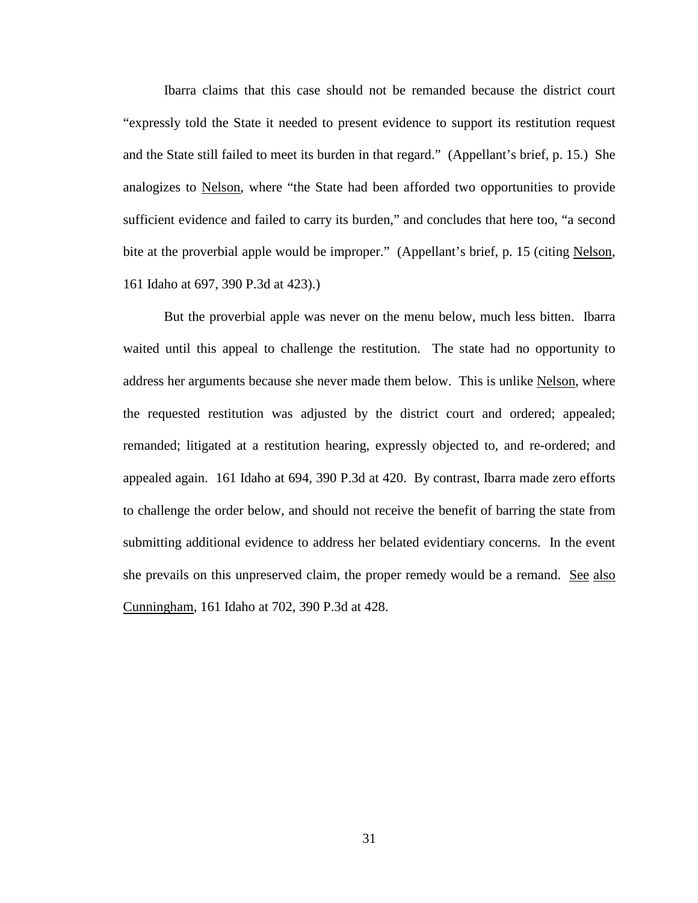Ibarra claims that this case should not be remanded because the district court "expressly told the State it needed to present evidence to support its restitution request and the State still failed to meet its burden in that regard." (Appellant's brief, p. 15.) She analogizes to Nelson, where "the State had been afforded two opportunities to provide sufficient evidence and failed to carry its burden," and concludes that here too, "a second bite at the proverbial apple would be improper." (Appellant's brief, p. 15 (citing Nelson, 161 Idaho at 697, 390 P.3d at 423).)

But the proverbial apple was never on the menu below, much less bitten. Ibarra waited until this appeal to challenge the restitution. The state had no opportunity to address her arguments because she never made them below. This is unlike Nelson, where the requested restitution was adjusted by the district court and ordered; appealed; remanded; litigated at a restitution hearing, expressly objected to, and re-ordered; and appealed again. 161 Idaho at 694, 390 P.3d at 420. By contrast, Ibarra made zero efforts to challenge the order below, and should not receive the benefit of barring the state from submitting additional evidence to address her belated evidentiary concerns. In the event she prevails on this unpreserved claim, the proper remedy would be a remand. See also Cunningham, 161 Idaho at 702, 390 P.3d at 428.